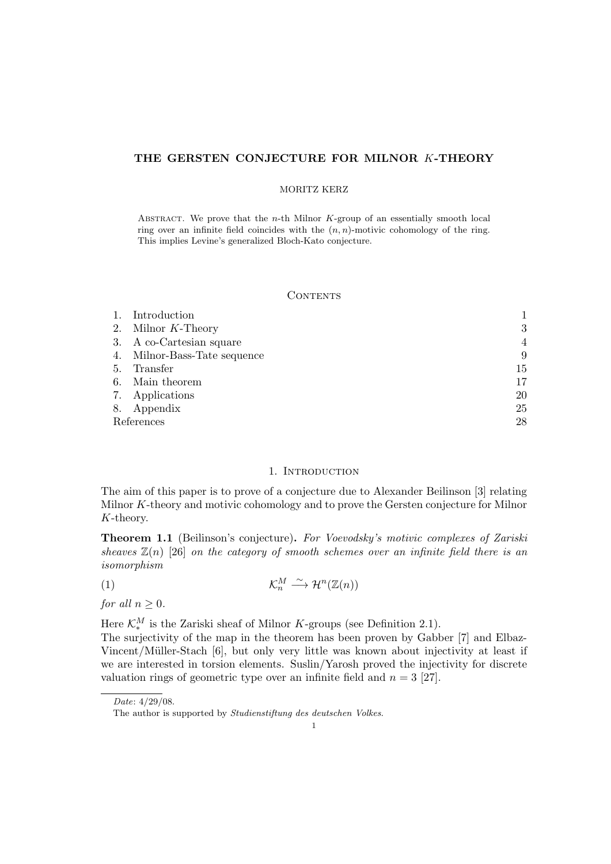# THE GERSTEN CONJECTURE FOR MILNOR K-THEORY

#### MORITZ KERZ

ABSTRACT. We prove that the  $n$ -th Milnor K-group of an essentially smooth local ring over an infinite field coincides with the  $(n, n)$ -motivic cohomology of the ring. This implies Levine's generalized Bloch-Kato conjecture.

#### **CONTENTS**

|            | Introduction                 |                |
|------------|------------------------------|----------------|
|            | 2. Milnor $K$ -Theory        | 3              |
|            | 3. A co-Cartesian square     | $\overline{4}$ |
|            | 4. Milnor-Bass-Tate sequence | 9              |
| 5.         | Transfer                     | 15             |
| 6.         | Main theorem                 | 17             |
|            | 7. Applications              | 20             |
|            | 8. Appendix                  | 25             |
| References | 28                           |                |

# 1. INTRODUCTION

The aim of this paper is to prove of a conjecture due to Alexander Beilinson [3] relating Milnor K-theory and motivic cohomology and to prove the Gersten conjecture for Milnor K-theory.

Theorem 1.1 (Beilinson's conjecture). For Voevodsky's motivic complexes of Zariski sheaves  $\mathbb{Z}(n)$  [26] on the category of smooth schemes over an infinite field there is an isomorphism

$$
\mathcal{K}_n^M \xrightarrow{\sim} \mathcal{H}^n(\mathbb{Z}(n))
$$

for all  $n \geq 0$ .

Here  $\mathcal{K}_{*}^{M}$  is the Zariski sheaf of Milnor K-groups (see Definition 2.1).

The surjectivity of the map in the theorem has been proven by Gabber [7] and Elbaz-Vincent/Müller-Stach [6], but only very little was known about injectivity at least if we are interested in torsion elements. Suslin/Yarosh proved the injectivity for discrete valuation rings of geometric type over an infinite field and  $n = 3$  [27].

Date: 4/29/08.

The author is supported by Studienstiftung des deutschen Volkes.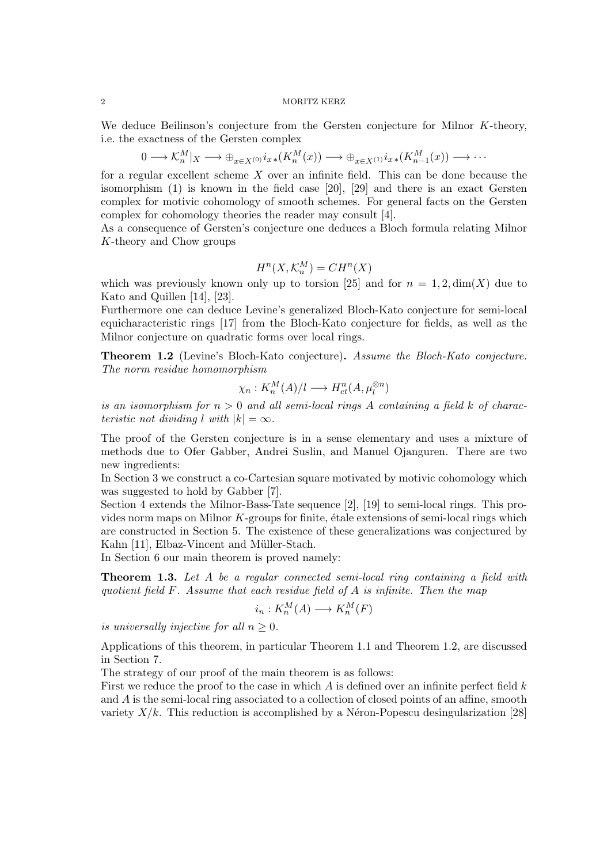We deduce Beilinson's conjecture from the Gersten conjecture for Milnor K-theory, i.e. the exactness of the Gersten complex

$$
0 \longrightarrow \mathcal{K}_n^M|_X \longrightarrow \bigoplus_{x \in X^{(0)}} i_{x \ast}(K_n^M(x)) \longrightarrow \bigoplus_{x \in X^{(1)}} i_{x \ast}(K_{n-1}^M(x)) \longrightarrow \cdots
$$

for a regular excellent scheme  $X$  over an infinite field. This can be done because the isomorphism (1) is known in the field case [20], [29] and there is an exact Gersten complex for motivic cohomology of smooth schemes. For general facts on the Gersten complex for cohomology theories the reader may consult [4].

As a consequence of Gersten's conjecture one deduces a Bloch formula relating Milnor K-theory and Chow groups

$$
H^n(X, \mathcal{K}^M_n) = CH^n(X)
$$

which was previously known only up to torsion [25] and for  $n = 1, 2, \dim(X)$  due to Kato and Quillen [14], [23].

Furthermore one can deduce Levine's generalized Bloch-Kato conjecture for semi-local equicharacteristic rings [17] from the Bloch-Kato conjecture for fields, as well as the Milnor conjecture on quadratic forms over local rings.

Theorem 1.2 (Levine's Bloch-Kato conjecture). Assume the Bloch-Kato conjecture. The norm residue homomorphism

$$
\chi_n: K_n^M(A)/l \longrightarrow H^n_{et}(A, \mu_l^{\otimes n})
$$

is an isomorphism for  $n > 0$  and all semi-local rings A containing a field k of characteristic not dividing l with  $|k| = \infty$ .

The proof of the Gersten conjecture is in a sense elementary and uses a mixture of methods due to Ofer Gabber, Andrei Suslin, and Manuel Ojanguren. There are two new ingredients:

In Section 3 we construct a co-Cartesian square motivated by motivic cohomology which was suggested to hold by Gabber [7].

Section 4 extends the Milnor-Bass-Tate sequence [2], [19] to semi-local rings. This provides norm maps on Milnor  $K$ -groups for finite, étale extensions of semi-local rings which are constructed in Section 5. The existence of these generalizations was conjectured by Kahn [11], Elbaz-Vincent and Müller-Stach.

In Section 6 our main theorem is proved namely:

Theorem 1.3. Let A be a regular connected semi-local ring containing a field with quotient field  $F$ . Assume that each residue field of  $A$  is infinite. Then the map

$$
i_n: K_n^M(A) \longrightarrow K_n^M(F)
$$

is universally injective for all  $n \geq 0$ .

Applications of this theorem, in particular Theorem 1.1 and Theorem 1.2, are discussed in Section 7.

The strategy of our proof of the main theorem is as follows:

First we reduce the proof to the case in which  $A$  is defined over an infinite perfect field  $k$ and A is the semi-local ring associated to a collection of closed points of an affine, smooth variety  $X/k$ . This reduction is accomplished by a Néron-Popescu desingularization [28]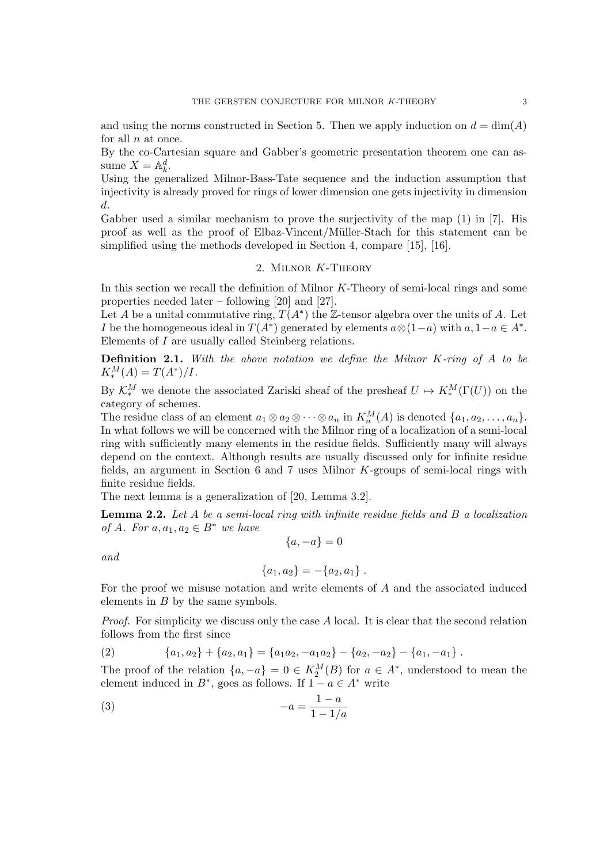and using the norms constructed in Section 5. Then we apply induction on  $d = \dim(A)$ for all  $n$  at once.

By the co-Cartesian square and Gabber's geometric presentation theorem one can assume  $X = \mathbb{A}_k^d$ .

Using the generalized Milnor-Bass-Tate sequence and the induction assumption that injectivity is already proved for rings of lower dimension one gets injectivity in dimension d.

Gabber used a similar mechanism to prove the surjectivity of the map  $(1)$  in [7]. His proof as well as the proof of Elbaz-Vincent/M¨uller-Stach for this statement can be simplified using the methods developed in Section 4, compare [15], [16].

# 2. Milnor K-Theory

In this section we recall the definition of Milnor K-Theory of semi-local rings and some properties needed later – following [20] and [27].

Let A be a unital commutative ring,  $T(A^*)$  the Z-tensor algebra over the units of A. Let I be the homogeneous ideal in  $T(A^*)$  generated by elements  $a \otimes (1-a)$  with  $a, 1-a \in A^*$ . Elements of I are usually called Steinberg relations.

**Definition 2.1.** With the above notation we define the Milnor K-ring of  $A$  to be  $K_*^M(A) = T(A^*)/I.$ 

By  $\mathcal{K}_{*}^{M}$  we denote the associated Zariski sheaf of the presheaf  $U \mapsto K_{*}^{M}(\Gamma(U))$  on the category of schemes.

The residue class of an element  $a_1 \otimes a_2 \otimes \cdots \otimes a_n$  in  $K_n^M(A)$  is denoted  $\{a_1, a_2, \ldots, a_n\}$ . In what follows we will be concerned with the Milnor ring of a localization of a semi-local ring with sufficiently many elements in the residue fields. Sufficiently many will always depend on the context. Although results are usually discussed only for infinite residue fields, an argument in Section 6 and 7 uses Milnor K-groups of semi-local rings with finite residue fields.

The next lemma is a generalization of [20, Lemma 3.2].

**Lemma 2.2.** Let  $A$  be a semi-local ring with infinite residue fields and  $B$  a localization of A. For  $a, a_1, a_2 \in B^*$  we have  ${a, -a} = 0$ 

and

$$
\{a_1, a_2\} = -\{a_2, a_1\} .
$$

For the proof we misuse notation and write elements of A and the associated induced elements in B by the same symbols.

Proof. For simplicity we discuss only the case A local. It is clear that the second relation follows from the first since

(2) 
$$
\{a_1, a_2\} + \{a_2, a_1\} = \{a_1a_2, -a_1a_2\} - \{a_2, -a_2\} - \{a_1, -a_1\}.
$$

The proof of the relation  $\{a, -a\} = 0 \in K_2^M(B)$  for  $a \in A^*$ , understood to mean the element induced in  $B^*$ , goes as follows. If  $1 - a \in A^*$  write

$$
(3) \qquad \qquad -a = \frac{1-a}{1-1/a}
$$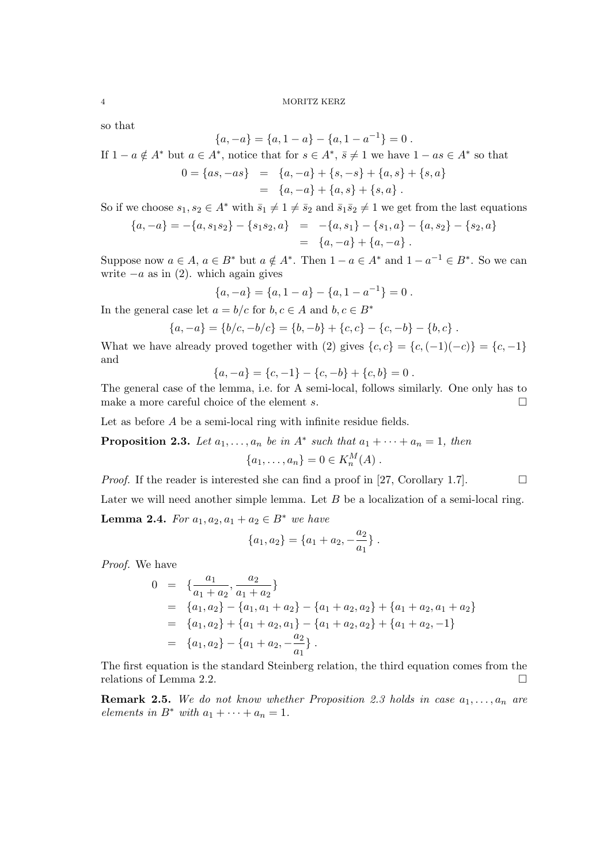so that

$$
\{a, -a\} = \{a, 1-a\} - \{a, 1-a^{-1}\} = 0.
$$

If 
$$
1 - a \notin A^*
$$
 but  $a \in A^*$ , notice that for  $s \in A^*$ ,  $\overline{s} \neq 1$  we have  $1 - as \in A^*$  so that

$$
0 = \{as, -as\} = \{a, -a\} + \{s, -s\} + \{a, s\} + \{s, a\}
$$

$$
= \{a, -a\} + \{a, s\} + \{s, a\}.
$$

So if we choose  $s_1, s_2 \in A^*$  with  $\bar{s}_1 \neq 1 \neq \bar{s}_2$  and  $\bar{s}_1 \bar{s}_2 \neq 1$  we get from the last equations

$$
{a, -a} = -{a, s1s2} - {s1s2, a} = -{a, s1} - {s1, a} - {a, s2} - {s2, a}= {a, -a} + {a, -a}.
$$

Suppose now  $a \in A$ ,  $a \in B^*$  but  $a \notin A^*$ . Then  $1 - a \in A^*$  and  $1 - a^{-1} \in B^*$ . So we can write  $-a$  as in (2). which again gives

$$
\{a,-a\} = \{a,1-a\} - \{a,1-a^{-1}\} = 0.
$$

In the general case let  $a = b/c$  for  $b, c \in A$  and  $b, c \in B^*$ 

$$
{a, -a} = {b/c, -b/c} = {b, -b} + {c, c} - {c, -b} - {b, c}.
$$

What we have already proved together with (2) gives  $\{c, c\} = \{c, (-1)(-c)\} = \{c, -1\}$ and

$$
\{a, -a\} = \{c, -1\} - \{c, -b\} + \{c, b\} = 0.
$$

The general case of the lemma, i.e. for A semi-local, follows similarly. One only has to make a more careful choice of the element s.  $\Box$ 

Let as before A be a semi-local ring with infinite residue fields.

**Proposition 2.3.** Let  $a_1, \ldots, a_n$  be in  $A^*$  such that  $a_1 + \cdots + a_n = 1$ , then  ${a_1, \ldots, a_n} = 0 \in K_n^M(A)$ .

*Proof.* If the reader is interested she can find a proof in [27, Corollary 1.7].

Later we will need another simple lemma. Let  $B$  be a localization of a semi-local ring.

**Lemma 2.4.** For  $a_1, a_2, a_1 + a_2 \in B^*$  we have

$$
\{a_1, a_2\} = \{a_1 + a_2, -\frac{a_2}{a_1}\}.
$$

Proof. We have

$$
0 = \left\{ \frac{a_1}{a_1 + a_2}, \frac{a_2}{a_1 + a_2} \right\}
$$
  
= { $a_1, a_2$ } - { $a_1, a_1 + a_2$ } - { $a_1 + a_2, a_2$ } + { $a_1 + a_2, a_1 + a_2$ }  
= { $a_1, a_2$ } + { $a_1 + a_2, a_1$ } - { $a_1 + a_2, a_2$ } + { $a_1 + a_2, -1$ }  
= { $a_1, a_2$ } - { $a_1 + a_2, -\frac{a_2}{a_1}$ }.

The first equation is the standard Steinberg relation, the third equation comes from the relations of Lemma 2.2.

**Remark 2.5.** We do not know whether Proposition 2.3 holds in case  $a_1, \ldots, a_n$  are elements in  $B^*$  with  $a_1 + \cdots + a_n = 1$ .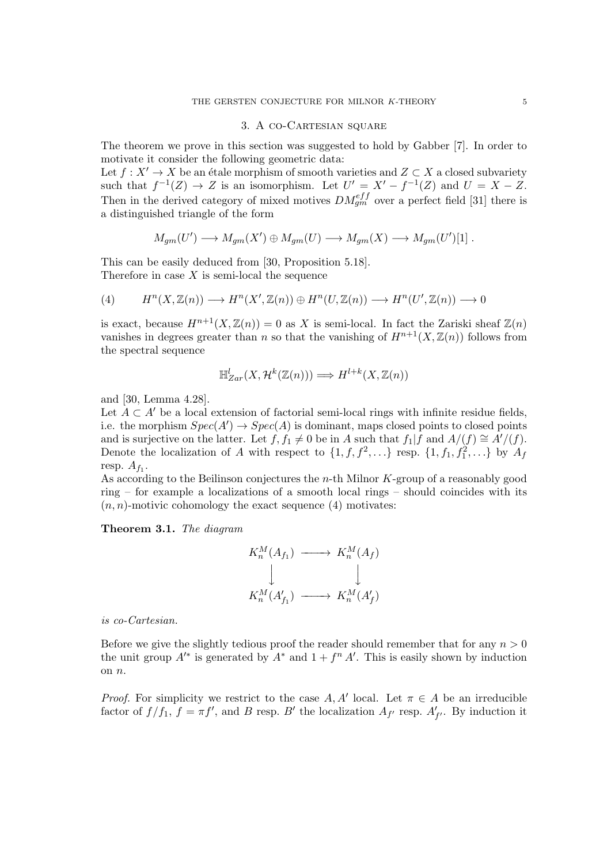#### 3. A co-Cartesian square

The theorem we prove in this section was suggested to hold by Gabber [7]. In order to motivate it consider the following geometric data:

Let  $f : X' \to X$  be an étale morphism of smooth varieties and  $Z \subset X$  a closed subvariety such that  $f^{-1}(Z) \to Z$  is an isomorphism. Let  $U' = X' - f^{-1}(Z)$  and  $U = X - Z$ . Then in the derived category of mixed motives  $DM_{gm}^{eff}$  over a perfect field [31] there is a distinguished triangle of the form

$$
M_{gm}(U') \longrightarrow M_{gm}(X') \oplus M_{gm}(U) \longrightarrow M_{gm}(X) \longrightarrow M_{gm}(U')[1]
$$
.

This can be easily deduced from [30, Proposition 5.18]. Therefore in case  $X$  is semi-local the sequence

(4) 
$$
H^n(X, \mathbb{Z}(n)) \longrightarrow H^n(X', \mathbb{Z}(n)) \oplus H^n(U, \mathbb{Z}(n)) \longrightarrow H^n(U', \mathbb{Z}(n)) \longrightarrow 0
$$

is exact, because  $H^{n+1}(X,\mathbb{Z}(n))=0$  as X is semi-local. In fact the Zariski sheaf  $\mathbb{Z}(n)$ vanishes in degrees greater than n so that the vanishing of  $H^{n+1}(X,\mathbb{Z}(n))$  follows from the spectral sequence

$$
\mathbb{H}_{Zar}^l(X, \mathcal{H}^k(\mathbb{Z}(n))) \Longrightarrow H^{l+k}(X, \mathbb{Z}(n))
$$

and [30, Lemma 4.28].

Let  $A \subset A'$  be a local extension of factorial semi-local rings with infinite residue fields, i.e. the morphism  $Spec(A') \to Spec(A)$  is dominant, maps closed points to closed points and is surjective on the latter. Let  $f, f_1 \neq 0$  be in A such that  $f_1|f$  and  $A/(f) \cong A'/(f)$ . Denote the localization of A with respect to  $\{1, f, f^2, \ldots\}$  resp.  $\{1, f_1, f_1^2, \ldots\}$  by  $A_f$ resp.  $A_{f_1}$ .

As according to the Beilinson conjectures the n-th Milnor K-group of a reasonably good ring – for example a localizations of a smooth local rings – should coincides with its  $(n, n)$ -motivic cohomology the exact sequence  $(4)$  motivates:

Theorem 3.1. The diagram

$$
K_n^M(A_{f_1}) \longrightarrow K_n^M(A_f)
$$
  
\n
$$
\downarrow \qquad \qquad \downarrow
$$
  
\n
$$
K_n^M(A'_{f_1}) \longrightarrow K_n^M(A'_{f})
$$

is co-Cartesian.

Before we give the slightly tedious proof the reader should remember that for any  $n > 0$ the unit group  $A^*$  is generated by  $A^*$  and  $1 + f^n A'$ . This is easily shown by induction on n.

*Proof.* For simplicity we restrict to the case A, A' local. Let  $\pi \in A$  be an irreducible factor of  $f/f_1$ ,  $f = \pi f'$ , and B resp. B' the localization  $A_{f'}$  resp.  $A'_{f'}$ . By induction it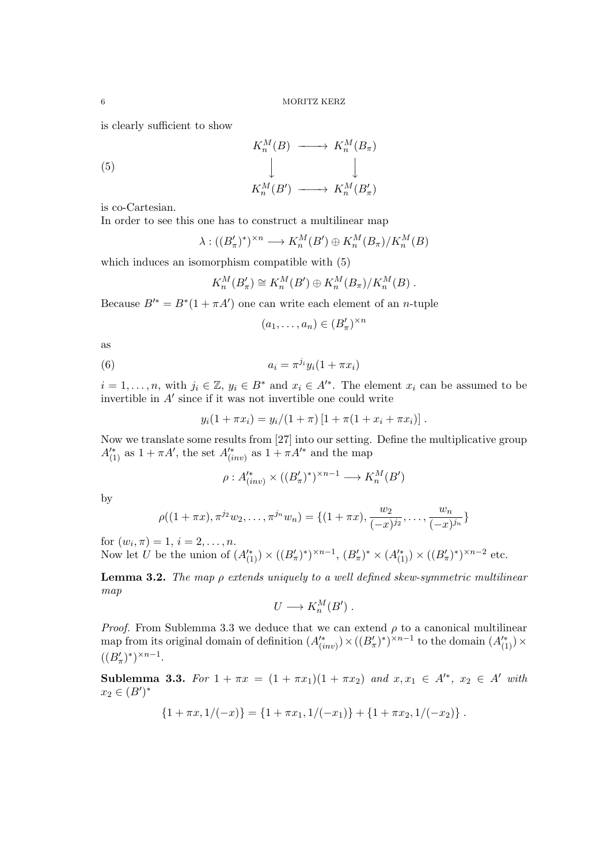is clearly sufficient to show

$$
K_n^M(B) \longrightarrow K_n^M(B_\pi)
$$
  

$$
\downarrow \qquad \qquad \downarrow
$$
  

$$
K_n^M(B') \longrightarrow K_n^M(B'_\pi)
$$

is co-Cartesian.

In order to see this one has to construct a multilinear map

$$
\lambda : ((B'_{\pi})^*)^{\times n} \longrightarrow K_n^M(B') \oplus K_n^M(B_{\pi})/K_n^M(B)
$$

which induces an isomorphism compatible with (5)

$$
K_n^M(B'_\pi) \cong K_n^M(B') \oplus K_n^M(B_\pi)/K_n^M(B) .
$$

Because  $B'^* = B^*(1 + \pi A')$  one can write each element of an *n*-tuple

$$
(a_1,\ldots,a_n)\in (B'_\pi)^{\times n}
$$

as

$$
(6) \qquad \qquad a_i = \pi^{j_i} y_i (1 + \pi x_i)
$$

 $i = 1, \ldots, n$ , with  $j_i \in \mathbb{Z}$ ,  $y_i \in B^*$  and  $x_i \in A'^*$ . The element  $x_i$  can be assumed to be invertible in  $A'$  since if it was not invertible one could write

$$
y_i(1+\pi x_i) = y_i/(1+\pi)[1+\pi(1+x_i+\pi x_i)].
$$

Now we translate some results from [27] into our setting. Define the multiplicative group  $A_{(1)}^{\prime*}$  as  $1 + \pi A'$ , the set  $A_{(inv)}^{\prime*}$  as  $1 + \pi A'^*$  and the map

$$
\rho: A'^*_{(inv)} \times ((B'_\pi)^*)^{\times n-1} \longrightarrow K^M_n(B')
$$

by

$$
\rho((1+\pi x), \pi^{j_2}w_2, \dots, \pi^{j_n}w_n) = \{(1+\pi x), \frac{w_2}{(-x)^{j_2}}, \dots, \frac{w_n}{(-x)^{j_n}}\}
$$

for  $(w_i, \pi) = 1, i = 2, \ldots, n$ .

Now let U be the union of  $(A_{(1)}^{\prime\ast}) \times ((B_{\pi}')^{\ast})^{\times n-1}$ ,  $(B_{\pi}')^{\ast} \times (A_{(1)}^{\prime\ast}) \times ((B_{\pi}')^{\ast})^{\times n-2}$  etc.

**Lemma 3.2.** The map  $\rho$  extends uniquely to a well defined skew-symmetric multilinear map

$$
U\longrightarrow K_n^M(B') .
$$

*Proof.* From Sublemma 3.3 we deduce that we can extend  $\rho$  to a canonical multilinear map from its original domain of definition  $(A''_{(inv)}) \times ((B'_\pi)^*)^{\times n-1}$  to the domain  $(A''_{(1)}) \times$  $((B'_{\pi})^*)^{\times n-1}.$ 

Sublemma 3.3. For  $1 + \pi x = (1 + \pi x_1)(1 + \pi x_2)$  and  $x, x_1 \in A^{k}, x_2 \in A'$  with  $x_2 \in (B')^*$ 

$$
\{1+\pi x, 1/(-x)\} = \{1+\pi x_1, 1/(-x_1)\} + \{1+\pi x_2, 1/(-x_2)\}.
$$

(5)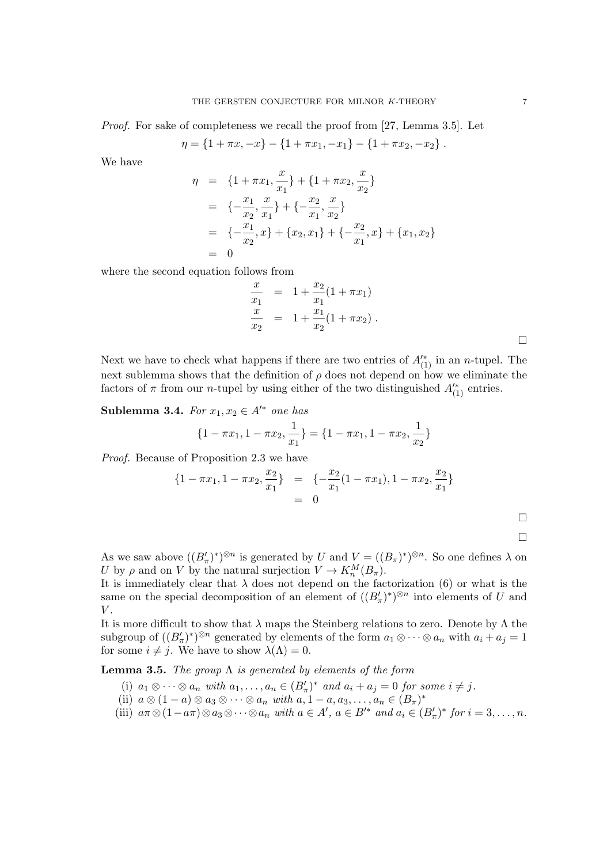*Proof.* For sake of completeness we recall the proof from [27, Lemma 3.5]. Let

$$
\eta = \{1 + \pi x, -x\} - \{1 + \pi x_1, -x_1\} - \{1 + \pi x_2, -x_2\}.
$$

We have

$$
\eta = \{1 + \pi x_1, \frac{x}{x_1}\} + \{1 + \pi x_2, \frac{x}{x_2}\}\
$$
  
\n
$$
= \{-\frac{x_1}{x_2}, \frac{x}{x_1}\} + \{-\frac{x_2}{x_1}, \frac{x}{x_2}\}\
$$
  
\n
$$
= \{-\frac{x_1}{x_2}, x\} + \{x_2, x_1\} + \{-\frac{x_2}{x_1}, x\} + \{x_1, x_2\}\
$$
  
\n
$$
= 0
$$

where the second equation follows from

$$
\frac{x}{x_1} = 1 + \frac{x_2}{x_1}(1 + \pi x_1)
$$
  
\n
$$
\frac{x}{x_2} = 1 + \frac{x_1}{x_2}(1 + \pi x_2).
$$

Next we have to check what happens if there are two entries of  $A_{(1)}^{\prime\ast}$  in an n-tupel. The next sublemma shows that the definition of  $\rho$  does not depend on how we eliminate the factors of  $\pi$  from our *n*-tupel by using either of the two distinguished  $A_{(1)}^{\prime*}$  entries.

Sublemma 3.4. For  $x_1, x_2 \in A'^*$  one has

$$
\{1 - \pi x_1, 1 - \pi x_2, \frac{1}{x_1}\} = \{1 - \pi x_1, 1 - \pi x_2, \frac{1}{x_2}\}\
$$

Proof. Because of Proposition 2.3 we have

$$
\{1 - \pi x_1, 1 - \pi x_2, \frac{x_2}{x_1}\} = \{-\frac{x_2}{x_1}(1 - \pi x_1), 1 - \pi x_2, \frac{x_2}{x_1}\}\
$$
  
= 0

 $\Box$ 

As we saw above  $((B'_\pi)^*)^{\otimes n}$  is generated by U and  $V = ((B_\pi)^*)^{\otimes n}$ . So one defines  $\lambda$  on U by  $\rho$  and on V by the natural surjection  $V \to K_n^M(B_\pi)$ .

It is immediately clear that  $\lambda$  does not depend on the factorization (6) or what is the same on the special decomposition of an element of  $((B'_{\pi})^*)^{\otimes n}$  into elements of U and  $V$ .

It is more difficult to show that  $\lambda$  maps the Steinberg relations to zero. Denote by  $\Lambda$  the subgroup of  $((B'_\pi)^*)^{\otimes n}$  generated by elements of the form  $a_1 \otimes \cdots \otimes a_n$  with  $a_i + a_j = 1$ for some  $i \neq j$ . We have to show  $\lambda(\Lambda) = 0$ .

**Lemma 3.5.** The group  $\Lambda$  is generated by elements of the form

- (i)  $a_1 \otimes \cdots \otimes a_n$  with  $a_1, \ldots, a_n \in (B'_\pi)^*$  and  $a_i + a_j = 0$  for some  $i \neq j$ .
- (ii)  $a \otimes (1-a) \otimes a_3 \otimes \cdots \otimes a_n$  with  $a, 1-a, a_3, \ldots, a_n \in (B_{\pi})^*$
- (iii)  $a\pi \otimes (1-a\pi) \otimes a_3 \otimes \cdots \otimes a_n$  with  $a \in A'$ ,  $a \in B'^*$  and  $a_i \in (B'_\pi)^*$  for  $i=3,\ldots,n$ .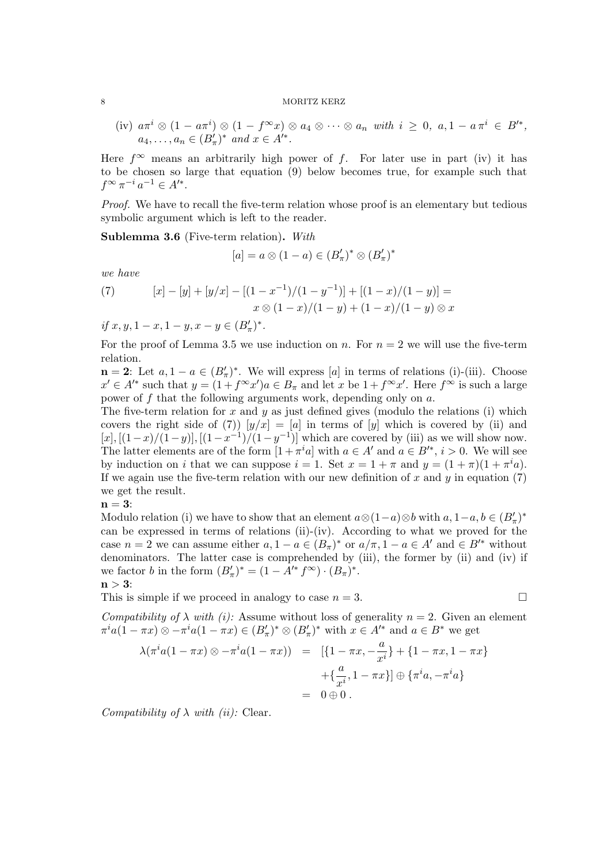(iv)  $a\pi^i \otimes (1 - a\pi^i) \otimes (1 - f^{\infty}x) \otimes a_4 \otimes \cdots \otimes a_n$  with  $i \geq 0$ ,  $a, 1 - a\pi^i \in B'^*,$  $a_4, \ldots, a_n \in (B'_{\pi})^*$  and  $x \in A'^*$ .

Here  $f^{\infty}$  means an arbitrarily high power of f. For later use in part (iv) it has to be chosen so large that equation (9) below becomes true, for example such that  $f^{\infty} \pi^{-i} a^{-1} \in A'^{*}.$ 

Proof. We have to recall the five-term relation whose proof is an elementary but tedious symbolic argument which is left to the reader.

Sublemma 3.6 (Five-term relation). With

$$
[a] = a \otimes (1 - a) \in (B'_{\pi})^* \otimes (B'_{\pi})^*
$$

we have

(7) 
$$
[x] - [y] + [y/x] - [(1 - x^{-1})/(1 - y^{-1})] + [(1 - x)/(1 - y)] = x \otimes (1 - x)/(1 - y) + (1 - x)/(1 - y) \otimes x
$$

if  $x, y, 1-x, 1-y, x-y \in (B'_\pi)^*$ .

For the proof of Lemma 3.5 we use induction on n. For  $n = 2$  we will use the five-term relation.

 $\mathbf{n} = 2$ : Let  $a, 1 - a \in (B'_\pi)^*$ . We will express [a] in terms of relations (i)-(iii). Choose  $x' \in A'^*$  such that  $y = (1 + f^{\infty}x')a \in B_{\pi}$  and let x be  $1 + f^{\infty}x'$ . Here  $f^{\infty}$  is such a large power of  $f$  that the following arguments work, depending only on  $a$ .

The five-term relation for x and y as just defined gives (modulo the relations (i) which covers the right side of (7))  $[y/x] = [a]$  in terms of  $[y]$  which is covered by (ii) and  $[x], [(1-x)/(1-y)], [(1-x^{-1})/(1-y^{-1})]$  which are covered by (iii) as we will show now. The latter elements are of the form  $[1 + \pi^i a]$  with  $a \in A'$  and  $a \in B'^*, i > 0$ . We will see by induction on i that we can suppose  $i = 1$ . Set  $x = 1 + \pi$  and  $y = (1 + \pi)(1 + \pi^i a)$ . If we again use the five-term relation with our new definition of x and  $y$  in equation (7) we get the result.

$$
\mathbf{n=3:}
$$

Modulo relation (i) we have to show that an element  $a \otimes (1-a) \otimes b$  with  $a, 1-a, b \in (B'_\pi)^*$ can be expressed in terms of relations (ii)-(iv). According to what we proved for the case  $n = 2$  we can assume either  $a, 1 - a \in (B_{\pi})^*$  or  $a/\pi, 1 - a \in A'$  and  $\in B'^*$  without denominators. The latter case is comprehended by (iii), the former by (ii) and (iv) if we factor *b* in the form  $(B'_{\pi})^* = (1 - A'^* f^{\infty}) \cdot (B_{\pi})^*$ .  $n > 3$ :

This is simple if we proceed in analogy to case  $n = 3$ .

Compatibility of  $\lambda$  with (i): Assume without loss of generality  $n = 2$ . Given an element  $\pi^i a(1-\pi x) \otimes -\pi^i a(1-\pi x) \in (B'_\pi)^* \otimes (B'_\pi)^*$  with  $x \in A'^*$  and  $a \in B^*$  we get

$$
\lambda(\pi^{i}a(1-\pi x)\otimes -\pi^{i}a(1-\pi x)) = [\{1-\pi x, -\frac{a}{x^{i}}\} + \{1-\pi x, 1-\pi x\} + \{\frac{a}{x^{i}}, 1-\pi x\}] \oplus \{\pi^{i}a, -\pi^{i}a\}
$$
  
= 0 \oplus 0.

Compatibility of  $\lambda$  with (ii): Clear.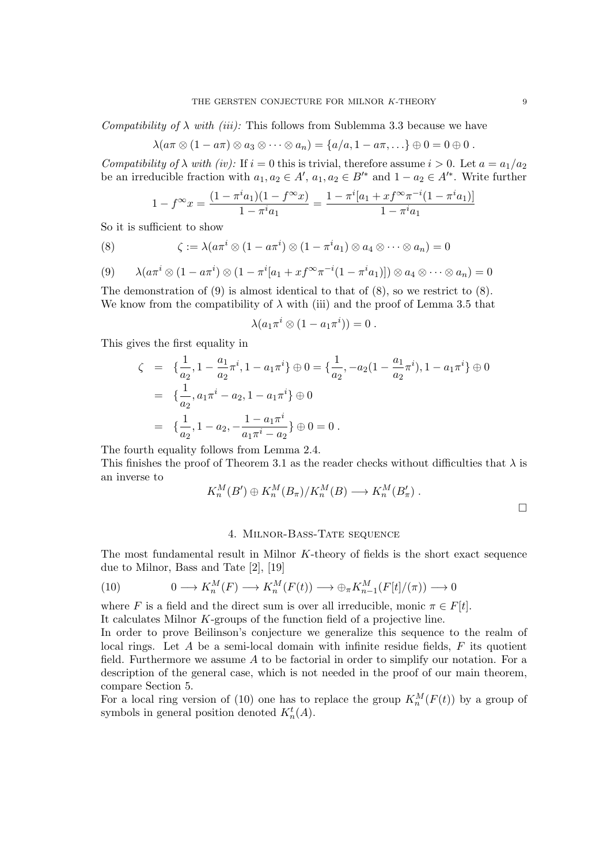Compatibility of  $\lambda$  with *(iii)*: This follows from Sublemma 3.3 because we have

$$
\lambda(a\pi\otimes(1-a\pi)\otimes a_3\otimes\cdots\otimes a_n)=\{a/a,1-a\pi,\ldots\}\oplus 0=0\oplus 0.
$$

Compatibility of  $\lambda$  with (iv): If  $i = 0$  this is trivial, therefore assume  $i > 0$ . Let  $a = a_1/a_2$ be an irreducible fraction with  $a_1, a_2 \in A'$ ,  $a_1, a_2 \in B'^*$  and  $1 - a_2 \in A'^*$ . Write further

$$
1 - f^{\infty} x = \frac{(1 - \pi^i a_1)(1 - f^{\infty} x)}{1 - \pi^i a_1} = \frac{1 - \pi^i [a_1 + x f^{\infty} \pi^{-i} (1 - \pi^i a_1)]}{1 - \pi^i a_1}
$$

So it is sufficient to show

(8) 
$$
\zeta := \lambda(a\pi^i \otimes (1 - a\pi^i) \otimes (1 - \pi^i a_1) \otimes a_4 \otimes \cdots \otimes a_n) = 0
$$

(9) 
$$
\lambda(a\pi^i\otimes(1-a\pi^i)\otimes(1-\pi^i[a_1+x f^{\infty}\pi^{-i}(1-\pi^i a_1)])\otimes a_4\otimes\cdots\otimes a_n)=0
$$

The demonstration of (9) is almost identical to that of (8), so we restrict to (8). We know from the compatibility of  $\lambda$  with (iii) and the proof of Lemma 3.5 that

$$
\lambda(a_1\pi^i\otimes(1-a_1\pi^i))=0.
$$

This gives the first equality in

$$
\zeta = \left\{ \frac{1}{a_2}, 1 - \frac{a_1}{a_2} \pi^i, 1 - a_1 \pi^i \right\} \oplus 0 = \left\{ \frac{1}{a_2}, -a_2 (1 - \frac{a_1}{a_2} \pi^i), 1 - a_1 \pi^i \right\} \oplus 0
$$
  
= 
$$
\left\{ \frac{1}{a_2}, a_1 \pi^i - a_2, 1 - a_1 \pi^i \right\} \oplus 0
$$
  
= 
$$
\left\{ \frac{1}{a_2}, 1 - a_2, -\frac{1 - a_1 \pi^i}{a_1 \pi^i - a_2} \right\} \oplus 0 = 0.
$$

The fourth equality follows from Lemma 2.4.

This finishes the proof of Theorem 3.1 as the reader checks without difficulties that  $\lambda$  is an inverse to

$$
K_n^M(B') \oplus K_n^M(B_\pi)/K_n^M(B) \longrightarrow K_n^M(B'_\pi) .
$$

# 4. Milnor-Bass-Tate sequence

The most fundamental result in Milnor K-theory of fields is the short exact sequence due to Milnor, Bass and Tate [2], [19]

(10) 
$$
0 \longrightarrow K_n^M(F) \longrightarrow K_n^M(F(t)) \longrightarrow \bigoplus_{\pi} K_{n-1}^M(F[t]/(\pi)) \longrightarrow 0
$$

where F is a field and the direct sum is over all irreducible, monic  $\pi \in F[t]$ .

It calculates Milnor K-groups of the function field of a projective line.

In order to prove Beilinson's conjecture we generalize this sequence to the realm of local rings. Let  $A$  be a semi-local domain with infinite residue fields,  $F$  its quotient field. Furthermore we assume  $A$  to be factorial in order to simplify our notation. For a description of the general case, which is not needed in the proof of our main theorem, compare Section 5.

For a local ring version of (10) one has to replace the group  $K_n^M(F(t))$  by a group of symbols in general position denoted  $K_n^t(A)$ .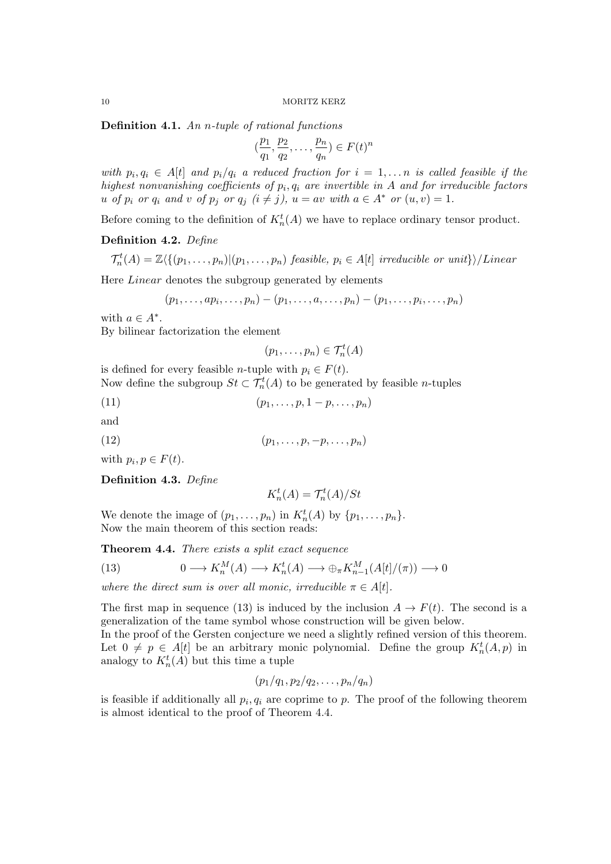Definition 4.1. An n-tuple of rational functions

$$
(\frac{p_1}{q_1}, \frac{p_2}{q_2}, \dots, \frac{p_n}{q_n}) \in F(t)^n
$$

with  $p_i, q_i \in A[t]$  and  $p_i/q_i$  a reduced fraction for  $i = 1, \ldots n$  is called feasible if the highest nonvanishing coefficients of  $p_i, q_i$  are invertible in A and for irreducible factors u of  $p_i$  or  $q_i$  and v of  $p_j$  or  $q_j$   $(i \neq j)$ ,  $u = av$  with  $a \in A^*$  or  $(u, v) = 1$ .

Before coming to the definition of  $K_n^t(A)$  we have to replace ordinary tensor product.

Definition 4.2. Define

$$
\mathcal{T}_n^t(A) = \mathbb{Z}\langle \{ (p_1,\ldots,p_n) | (p_1,\ldots,p_n) \text{ feasible}, p_i \in A[t] \text{ irreducible or unit} \} \rangle/Linear
$$

Here Linear denotes the subgroup generated by elements

$$
(p_1,\ldots,ap_i,\ldots,p_n)-(p_1,\ldots,a,\ldots,p_n)-(p_1,\ldots,p_i,\ldots,p_n)
$$

with  $a \in A^*$ .

By bilinear factorization the element

$$
(p_1,\ldots,p_n)\in \mathcal{T}_n^t(A)
$$

is defined for every feasible *n*-tuple with  $p_i \in F(t)$ . Now define the subgroup  $St \subset \mathcal{T}_n^t(A)$  to be generated by feasible *n*-tuples

(11)  $(p_1, \ldots, p, 1 - p, \ldots, p_n)$ 

and

(12)  $(p_1, \ldots, p, -p, \ldots, p_n)$ 

with  $p_i, p \in F(t)$ .

### Definition 4.3. Define

$$
K_n^t(A) = \mathcal{T}_n^t(A)/St
$$

We denote the image of  $(p_1, \ldots, p_n)$  in  $K_n^t(A)$  by  $\{p_1, \ldots, p_n\}.$ Now the main theorem of this section reads:

Theorem 4.4. There exists a split exact sequence

(13) 
$$
0 \longrightarrow K_n^M(A) \longrightarrow K_n^t(A) \longrightarrow \bigoplus_{\pi} K_{n-1}^M(A[t]/(\pi)) \longrightarrow 0
$$

where the direct sum is over all monic, irreducible  $\pi \in A[t]$ .

The first map in sequence (13) is induced by the inclusion  $A \to F(t)$ . The second is a generalization of the tame symbol whose construction will be given below.

In the proof of the Gersten conjecture we need a slightly refined version of this theorem. Let  $0 \neq p \in A[t]$  be an arbitrary monic polynomial. Define the group  $K_n^t(A, p)$  in analogy to  $K_n^t(A)$  but this time a tuple

$$
(p_1/q_1, p_2/q_2, \ldots, p_n/q_n)
$$

is feasible if additionally all  $p_i, q_i$  are coprime to p. The proof of the following theorem is almost identical to the proof of Theorem 4.4.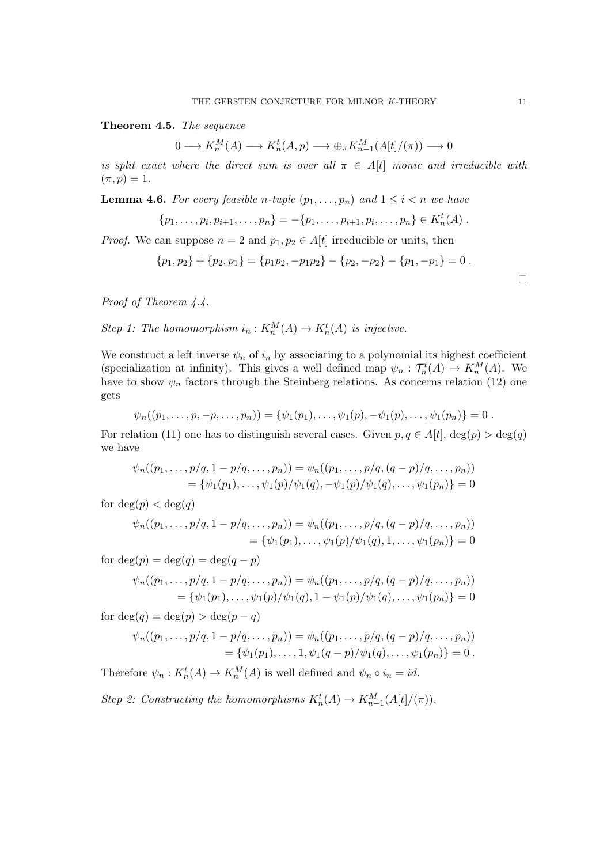Theorem 4.5. The sequence

 $0 \longrightarrow K_n^M(A) \longrightarrow K_n^t(A,p) \longrightarrow \bigoplus_{\pi} K_{n-1}^M(A[t]/(\pi)) \longrightarrow 0$ 

is split exact where the direct sum is over all  $\pi \in A[t]$  monic and irreducible with  $(\pi, p) = 1.$ 

**Lemma 4.6.** For every feasible n-tuple  $(p_1, \ldots, p_n)$  and  $1 \leq i \leq n$  we have

$$
\{p_1,\ldots,p_i,p_{i+1},\ldots,p_n\}=-\{p_1,\ldots,p_{i+1},p_i,\ldots,p_n\}\in K_n^t(A).
$$

*Proof.* We can suppose  $n = 2$  and  $p_1, p_2 \in A[t]$  irreducible or units, then

$$
{p_1, p_2} + {p_2, p_1} = {p_1p_2, -p_1p_2} - {p_2, -p_2} - {p_1, -p_1} = 0.
$$

Proof of Theorem 4.4.

Step 1: The homomorphism  $i_n: K_n^M(A) \to K_n^t(A)$  is injective.

We construct a left inverse  $\psi_n$  of  $i_n$  by associating to a polynomial its highest coefficient (specialization at infinity). This gives a well defined map  $\psi_n : \mathcal{T}_n^t(A) \to K_n^M(A)$ . We have to show  $\psi_n$  factors through the Steinberg relations. As concerns relation (12) one gets

$$
\psi_n((p_1,\ldots,p,-p,\ldots,p_n))=\{\psi_1(p_1),\ldots,\psi_1(p),-\psi_1(p),\ldots,\psi_1(p_n)\}=0.
$$

For relation (11) one has to distinguish several cases. Given  $p, q \in A[t]$ ,  $\deg(p) > \deg(q)$ we have

$$
\psi_n((p_1,\ldots,p/q,1-p/q,\ldots,p_n)) = \psi_n((p_1,\ldots,p/q,(q-p)/q,\ldots,p_n))
$$
  
= { $\psi_1(p_1),\ldots,\psi_1(p)/\psi_1(q),-\psi_1(p)/\psi_1(q),\ldots,\psi_1(p_n)$ } = 0

for  $deg(p) < deg(q)$ 

$$
\psi_n((p_1,\ldots,p/q,1-p/q,\ldots,p_n)) = \psi_n((p_1,\ldots,p/q,(q-p)/q,\ldots,p_n))
$$
  
= { $\psi_1(p_1),\ldots,\psi_1(p)/\psi_1(q),1,\ldots,\psi_1(p_n)$ } = 0

for  $deg(p) = deg(q) = deg(q - p)$ 

$$
\psi_n((p_1,\ldots,p/q,1-p/q,\ldots,p_n)) = \psi_n((p_1,\ldots,p/q,(q-p)/q,\ldots,p_n))
$$
  
= { $\psi_1(p_1),\ldots,\psi_1(p)/\psi_1(q),1-\psi_1(p)/\psi_1(q),\ldots,\psi_1(p_n)$ } = 0

for  $deg(q) = deg(p) > deg(p-q)$ 

$$
\psi_n((p_1,\ldots,p/q,1-p/q,\ldots,p_n)) = \psi_n((p_1,\ldots,p/q,(q-p)/q,\ldots,p_n))
$$
  
= { $\psi_1(p_1),\ldots,1,\psi_1(q-p)/\psi_1(q),\ldots,\psi_1(p_n)$ } = 0.

Therefore  $\psi_n: K_n^t(A) \to K_n^M(A)$  is well defined and  $\psi_n \circ i_n = id$ .

Step 2: Constructing the homomorphisms  $K_n^t(A) \to K_{n-1}^M(A[t]/(\pi))$ .

 $\Box$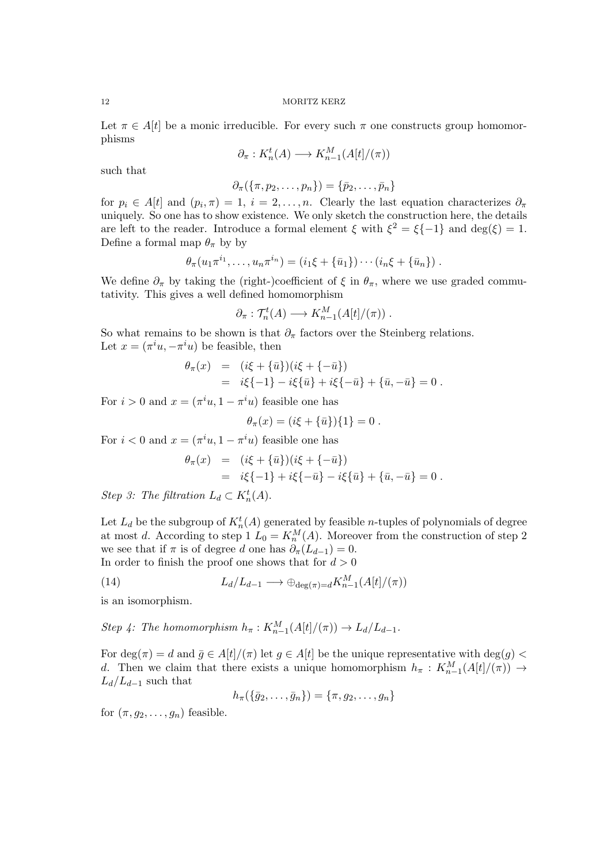Let  $\pi \in A[t]$  be a monic irreducible. For every such  $\pi$  one constructs group homomorphisms

$$
\partial_{\pi}: K_n^t(A) \longrightarrow K_{n-1}^M(A[t]/(\pi))
$$

such that

$$
\partial_{\pi}(\{\pi, p_2,\ldots,p_n\})=\{\bar{p}_2,\ldots,\bar{p}_n\}
$$

for  $p_i \in A[t]$  and  $(p_i, \pi) = 1$ ,  $i = 2, \ldots, n$ . Clearly the last equation characterizes  $\partial_{\pi}$ uniquely. So one has to show existence. We only sketch the construction here, the details are left to the reader. Introduce a formal element  $\xi$  with  $\xi^2 = \xi(-1)$  and  $\deg(\xi) = 1$ . Define a formal map  $\theta_{\pi}$  by by

$$
\theta_{\pi}(u_1\pi^{i_1},\ldots,u_n\pi^{i_n})=(i_1\xi+\{\bar{u}_1\})\cdots(i_n\xi+\{\bar{u}_n\})
$$
.

We define  $\partial_{\pi}$  by taking the (right-)coefficient of  $\xi$  in  $\theta_{\pi}$ , where we use graded commutativity. This gives a well defined homomorphism

$$
\partial_{\pi}: \mathcal{T}_n^t(A) \longrightarrow K_{n-1}^M(A[t]/(\pi)) .
$$

So what remains to be shown is that  $\partial_{\pi}$  factors over the Steinberg relations. Let  $x = (\pi^i u, -\pi^i u)$  be feasible, then

$$
\theta_{\pi}(x) = (i\xi + {\overline{u}})(i\xi + {-\overline{u}}) \n= i\xi{-1} - i\xi{\overline{u}} + i\xi{-\overline{u}} + {\overline{u}}, -{\overline{u}} = 0.
$$

For  $i > 0$  and  $x = (\pi^i u, 1 - \pi^i u)$  feasible one has

$$
\theta_{\pi}(x) = (i\xi + {\bar{u}}){1} = 0.
$$

For  $i < 0$  and  $x = (\pi^i u, 1 - \pi^i u)$  feasible one has

$$
\theta_{\pi}(x) = (i\xi + {\bar{u}})(i\xi + {-\bar{u}})
$$
  
=  $i\xi{-1} + i\xi{-\bar{u}} - i\xi{\bar{u}} + {\bar{u}, -\bar{u}} = 0.$ 

Step 3: The filtration  $L_d \subset K_n^t(A)$ .

Let  $L_d$  be the subgroup of  $K_n^t(A)$  generated by feasible *n*-tuples of polynomials of degree at most d. According to step 1  $L_0 = K_n^M(A)$ . Moreover from the construction of step 2 we see that if  $\pi$  is of degree d one has  $\partial_{\pi}(L_{d-1}) = 0$ . In order to finish the proof one shows that for  $d > 0$ 

(14) 
$$
L_d/L_{d-1} \longrightarrow \bigoplus_{\deg(\pi)=d} K_{n-1}^M(A[t]/(\pi))
$$

is an isomorphism.

Step 4: The homomorphism  $h_{\pi}: K_{n-1}^M(A[t]/(\pi)) \to L_d/L_{d-1}$ .

For deg( $\pi$ ) = d and  $\bar{g} \in A[t]/(\pi)$  let  $g \in A[t]$  be the unique representative with deg( $g$ ) < d. Then we claim that there exists a unique homomorphism  $h_{\pi}: K_{n-1}^M(A[t]/(\pi)) \to$  $L_d/L_{d-1}$  such that

$$
h_{\pi}(\{\bar{g}_2,\ldots,\bar{g}_n\})=\{\pi,g_2,\ldots,g_n\}
$$

for  $(\pi, q_2, \ldots, q_n)$  feasible.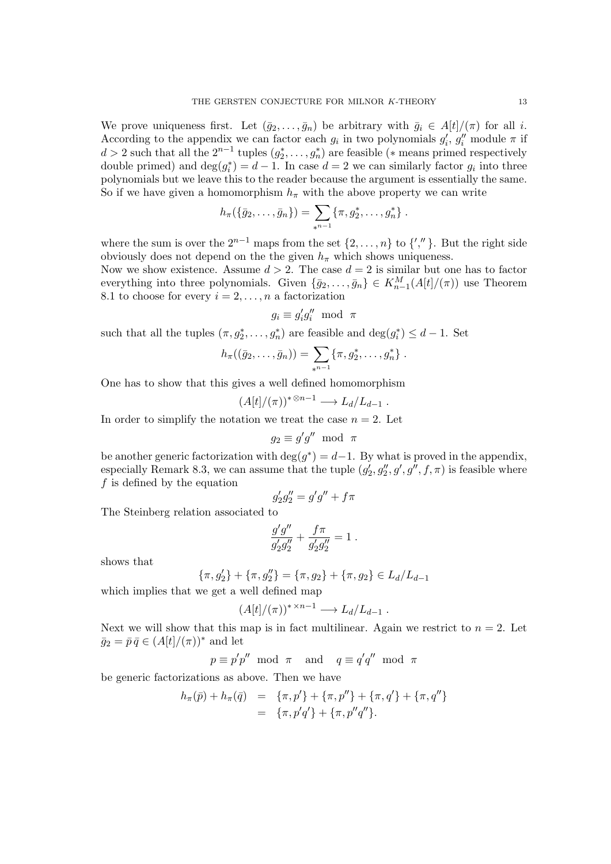We prove uniqueness first. Let  $(\bar{g}_2, \ldots, \bar{g}_n)$  be arbitrary with  $\bar{g}_i \in A[t]/(\pi)$  for all i. According to the appendix we can factor each  $g_i$  in two polynomials  $g'_i$ ,  $g''_i$  module  $\pi$  if d > 2 such that all the  $2^{n-1}$  tuples  $(g_2^*, \ldots, g_n^*)$  are feasible (\* means primed respectively double primed) and  $\deg(g_i^*) = d - 1$ . In case  $d = 2$  we can similarly factor  $g_i$  into three polynomials but we leave this to the reader because the argument is essentially the same. So if we have given a homomorphism  $h_{\pi}$  with the above property we can write

$$
h_{\pi}(\{\bar{g}_2,\ldots,\bar{g}_n\})=\sum_{*^{n-1}}\{\pi,g_2^*,\ldots,g_n^*\}.
$$

where the sum is over the  $2^{n-1}$  maps from the set  $\{2, \ldots, n\}$  to  $\{',''\}$ . But the right side obviously does not depend on the the given  $h_{\pi}$  which shows uniqueness.

Now we show existence. Assume  $d > 2$ . The case  $d = 2$  is similar but one has to factor everything into three polynomials. Given  $\{\bar{g}_2,\ldots,\bar{g}_n\} \in K_{n-1}^M(A[t]/(\pi))$  use Theorem 8.1 to choose for every  $i = 2, \ldots, n$  a factorization

$$
g_i \equiv g'_i g''_i \; \bmod \; \pi
$$

such that all the tuples  $(\pi, g_2^*, \dots, g_n^*)$  are feasible and  $\deg(g_i^*) \leq d-1$ . Set

$$
h_{\pi}((\bar{g}_2,\ldots,\bar{g}_n))=\sum_{*^{n-1}}\{\pi,g_2^*,\ldots,g_n^*\}.
$$

One has to show that this gives a well defined homomorphism

$$
(A[t]/(\pi))^{*\otimes n-1} \longrightarrow L_d/L_{d-1} .
$$

In order to simplify the notation we treat the case  $n = 2$ . Let

$$
g_2 \equiv g'g'' \text{ mod } \pi
$$

be another generic factorization with  $\deg(g^*) = d-1$ . By what is proved in the appendix, especially Remark 8.3, we can assume that the tuple  $(g'_2, g''_2, g', g'', f, \pi)$  is feasible where f is defined by the equation

$$
g_2'g_2'' = g'g'' + f\pi
$$

The Steinberg relation associated to

$$
\frac{g'g''}{g_2'g_2''} + \frac{f\pi}{g_2'g_2''} = 1.
$$

shows that

$$
\{\pi, g_2'\} + \{\pi, g_2''\} = \{\pi, g_2\} + \{\pi, g_2\} \in L_d/L_{d-1}
$$

which implies that we get a well defined map

$$
(A[t]/(\pi))^{* \times n-1} \longrightarrow L_d/L_{d-1} .
$$

Next we will show that this map is in fact multilinear. Again we restrict to  $n = 2$ . Let  $\bar{g}_2 = \bar{p} \bar{q} \in (A[t]/(\pi))^*$  and let

 $p \equiv p'p'' \mod \pi \text{ and } q \equiv q'q'' \mod \pi$ 

be generic factorizations as above. Then we have

$$
h_{\pi}(\bar{p}) + h_{\pi}(\bar{q}) = \{\pi, p'\} + \{\pi, p''\} + \{\pi, q'\} + \{\pi, q''\} = \{\pi, p'q'\} + \{\pi, p''q''\}.
$$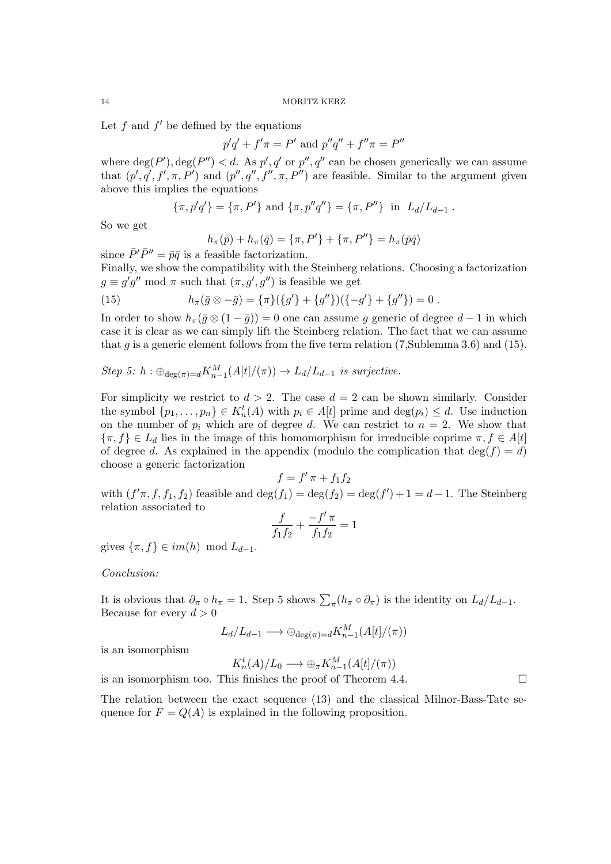Let  $f$  and  $f'$  be defined by the equations

$$
p'q' + f'\pi = P'
$$
 and  $p''q'' + f''\pi = P''$ 

where  $deg(P')$ ,  $deg(P'') < d$ . As  $p', q'$  or  $p'', q''$  can be chosen generically we can assume that  $(p', q', f', \pi, P')$  and  $(p'', q'', f'', \pi, P'')$  are feasible. Similar to the argument given above this implies the equations

$$
\{\pi, p'q'\} = \{\pi, P'\} \text{ and } \{\pi, p''q''\} = \{\pi, P''\} \text{ in } L_d/L_{d-1} .
$$

So we get

$$
h_{\pi}(\bar{p}) + h_{\pi}(\bar{q}) = \{\pi, P'\} + \{\pi, P''\} = h_{\pi}(\bar{p}\bar{q})
$$

since  $\bar{P}'\bar{P}'' = \bar{p}\bar{q}$  is a feasible factorization.

Finally, we show the compatibility with the Steinberg relations. Choosing a factorization  $g \equiv g'g'' \bmod \pi$  such that  $(\pi, g', g'')$  is feasible we get

(15) 
$$
h_{\pi}(\bar{g} \otimes -\bar{g}) = {\pi}({g'} + {g''})({{-g'} + {g''}}) = 0.
$$

In order to show  $h_{\pi}(\bar{g} \otimes (1 - \bar{g})) = 0$  one can assume g generic of degree  $d - 1$  in which case it is clear as we can simply lift the Steinberg relation. The fact that we can assume that g is a generic element follows from the five term relation  $(7, \text{Sublemma } 3.6)$  and  $(15)$ .

Step 5: 
$$
h : \bigoplus_{\deg(\pi) = d} K_{n-1}^M(A[t]/(\pi)) \to L_d/L_{d-1}
$$
 is surjective.

For simplicity we restrict to  $d > 2$ . The case  $d = 2$  can be shown similarly. Consider the symbol  $\{p_1, \ldots, p_n\} \in K_n^t(A)$  with  $p_i \in A[t]$  prime and  $\deg(p_i) \leq d$ . Use induction on the number of  $p_i$  which are of degree d. We can restrict to  $n = 2$ . We show that  $\{\pi, f\} \in L_d$  lies in the image of this homomorphism for irreducible coprime  $\pi, f \in A[t]$ of degree d. As explained in the appendix (modulo the complication that  $deg(f) = d$ ) choose a generic factorization

$$
f = f' \pi + f_1 f_2
$$

$$
(f_1) = \deg(f_2) =
$$

with  $(f'\pi, f, f_1, f_2)$  feasible and  $\deg(f_1) = \deg(f_2) = \deg(f_1)$  $(') + 1 = d - 1$ . The Steinberg relation associated to f  $-f$  $\overline{a}$ 

$$
\frac{J}{f_1 f_2} + \frac{-J'\pi}{f_1 f_2} = 1
$$

gives  $\{\pi, f\} \in im(h) \mod L_{d-1}$ .

# Conclusion:

It is obvious that  $\partial_{\pi} \circ h_{\pi} = 1$ . Step 5 shows  $\sum_{\pi} (h_{\pi} \circ \partial_{\pi})$  is the identity on  $L_d/L_{d-1}$ . Because for every  $d > 0$ 

$$
L_d/L_{d-1} \longrightarrow \bigoplus_{\deg(\pi) = d} K_{n-1}^M(A[t]/(\pi))
$$

is an isomorphism

$$
K_n^t(A)/L_0 \longrightarrow \bigoplus_{\pi} K_{n-1}^M(A[t]/(\pi))
$$

is an isomorphism too. This finishes the proof of Theorem 4.4.

The relation between the exact sequence (13) and the classical Milnor-Bass-Tate sequence for  $F = Q(A)$  is explained in the following proposition.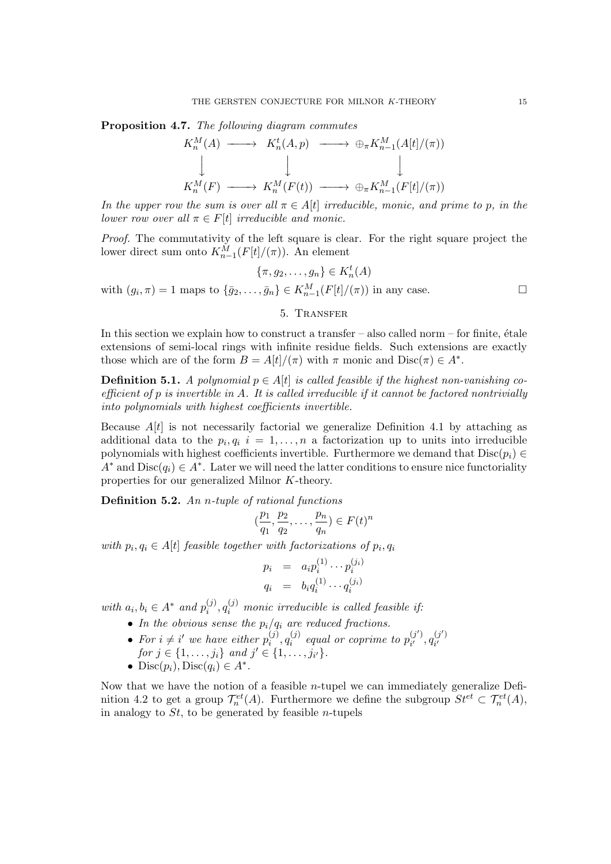Proposition 4.7. The following diagram commutes

$$
K_n^M(A) \longrightarrow K_n^t(A, p) \longrightarrow \bigoplus_{\pi} K_{n-1}^M(A[t]/(\pi))
$$
  
\n
$$
\downarrow \qquad \qquad \downarrow
$$
  
\n
$$
K_n^M(F) \longrightarrow K_n^M(F(t)) \longrightarrow \bigoplus_{\pi} K_{n-1}^M(F[t]/(\pi))
$$

In the upper row the sum is over all  $\pi \in A[t]$  irreducible, monic, and prime to p, in the lower row over all  $\pi \in F[t]$  irreducible and monic.

Proof. The commutativity of the left square is clear. For the right square project the lower direct sum onto  $K_{n-1}^M(F[t]/(\pi))$ . An element

 $\{\pi, g_2, \ldots, g_n\} \in K_n^t(A)$ with  $(g_i, \pi) = 1$  maps to  $\{\bar{g}_2, \ldots, \bar{g}_n\} \in K_{n-1}^M(F[t]/(\pi))$  in any case.

# 5. Transfer

In this section we explain how to construct a transfer – also called norm – for finite,  $\hat{\theta}$  tale extensions of semi-local rings with infinite residue fields. Such extensions are exactly those which are of the form  $B = A[t]/(\pi)$  with  $\pi$  monic and  $Disc(\pi) \in A^*$ .

**Definition 5.1.** A polynomial  $p \in A[t]$  is called feasible if the highest non-vanishing coefficient of  $p$  is invertible in  $A$ . It is called irreducible if it cannot be factored nontrivially into polynomials with highest coefficients invertible.

Because  $A[t]$  is not necessarily factorial we generalize Definition 4.1 by attaching as additional data to the  $p_i, q_i$   $i = 1, ..., n$  a factorization up to units into irreducible polynomials with highest coefficients invertible. Furthermore we demand that  $Disc(p_i) \in$  $A^*$  and  $Disc(q_i) \in A^*$ . Later we will need the latter conditions to ensure nice functoriality properties for our generalized Milnor K-theory.

Definition 5.2. An *n*-tuple of rational functions

$$
(\frac{p_1}{q_1}, \frac{p_2}{q_2}, \dots, \frac{p_n}{q_n}) \in F(t)^n
$$

with  $p_i, q_i \in A[t]$  feasible together with factorizations of  $p_i, q_i$ 

$$
p_i = a_i p_i^{(1)} \cdots p_i^{(j_i)}
$$
  
\n
$$
q_i = b_i q_i^{(1)} \cdots q_i^{(j_i)}
$$

with  $a_i, b_i \in A^*$  and  $p_i^{(j)}$  $\hat{g}^{(j)}_{i}, q^{(j)}_{i}$  monic irreducible is called feasible if:

- In the obvious sense the  $p_i/q_i$  are reduced fractions.
- For  $i \neq i'$  we have either  $p_i^{(j)}$  $q_i^{(j)}, q_i^{(j)}$  $\hat{v}_i^{(j)}$  equal or coprime to  $p_{i'}^{(j')}$  $q_i^{(j')}$ ,  $q_{i'}^{(j')}$ For  $i \neq i$  we have enter  $p_i^r$ ,  $q_i^r$  equal or coprime to  $p_{i'}^r$ ,  $q_{i'}^r$ <br>for  $j \in \{1, \ldots, j_i\}$  and  $j' \in \{1, \ldots, j_{i'}\}$ .
- Disc $(p_i)$ , Disc $(q_i) \in A^*$ .

Now that we have the notion of a feasible  $n$ -tupel we can immediately generalize Definition 4.2 to get a group  $\mathcal{T}_n^{et}(A)$ . Furthermore we define the subgroup  $St^{et} \subset \mathcal{T}_n^{et}(A)$ , in analogy to  $St$ , to be generated by feasible *n*-tupels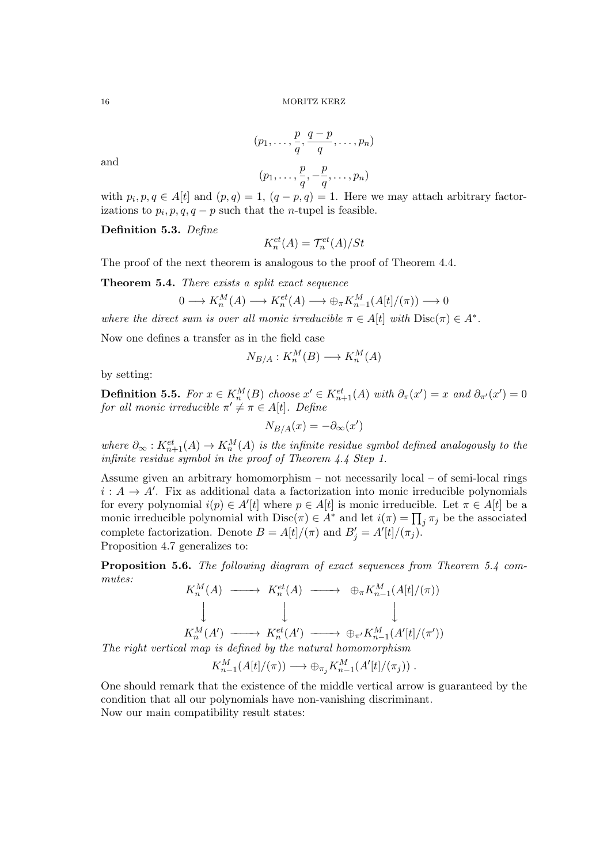and

$$
(p_1, \ldots, \frac{p}{q}, \frac{q-p}{q}, \ldots, p_n)
$$

$$
(p_1, \ldots, \frac{p}{q}, -\frac{p}{q}, \ldots, p_n)
$$

with  $p_i$ 

with 
$$
p_i, p, q \in A[t]
$$
 and  $(p, q) = 1$ ,  $(q - p, q) = 1$ . Here we may attach arbitrary factorizations to  $p_i, p, q, q - p$  such that the *n*-tuple is feasible.

Definition 5.3. Define

 $K_n^{et}(A) = \mathcal{T}_n^{et}(A)/St$ 

The proof of the next theorem is analogous to the proof of Theorem 4.4.

Theorem 5.4. There exists a split exact sequence

$$
0 \longrightarrow K_n^M(A) \longrightarrow K_n^{et}(A) \longrightarrow \bigoplus_{\pi} K_{n-1}^M(A[t]/(\pi)) \longrightarrow 0
$$

where the direct sum is over all monic irreducible  $\pi \in A[t]$  with  $Disc(\pi) \in A^*$ .

Now one defines a transfer as in the field case

$$
N_{B/A}: K_n^M(B) \longrightarrow K_n^M(A)
$$

by setting:

**Definition 5.5.** For  $x \in K_n^M(B)$  choose  $x' \in K_{n+1}^{et}(A)$  with  $\partial_{\pi}(x') = x$  and  $\partial_{\pi'}(x') = 0$ for all monic irreducible  $\pi' \neq \pi \in A[t]$ . Define

$$
N_{B/A}(x) = -\partial_{\infty}(x')
$$

where  $\partial_{\infty}: K_{n+1}^{et}(A) \to K_n^M(A)$  is the infinite residue symbol defined analogously to the infinite residue symbol in the proof of Theorem 4.4 Step 1.

Assume given an arbitrary homomorphism – not necessarily local – of semi-local rings  $i: A \rightarrow A'$ . Fix as additional data a factorization into monic irreducible polynomials for every polynomial  $i(p) \in A'[t]$  where  $p \in A[t]$  is monic irreducible. Let  $\pi \in A[t]$  be a monic irreducible polynomial with  $Disc(\pi) \in A^*$  and let  $i(\pi) = \prod_j \pi_j$  be the associated complete factorization. Denote  $B = A[t]/(\pi)$  and  $B'_j = A'[t]/(\pi_j)$ . Proposition 4.7 generalizes to:

Proposition 5.6. The following diagram of exact sequences from Theorem 5.4 commutes:

 $K_n^M(A) \longrightarrow K_n^{et}(A) \longrightarrow \bigoplus_{\pi} K_{n-1}^M(A[t]/(\pi))$  $\begin{array}{c} \begin{array}{c} \end{array} \\ \begin{array}{c} \end{array} \end{array}$  $\downarrow$  $\downarrow$  $K_n^M(A') \longrightarrow K_n^{et}(A') \longrightarrow \bigoplus_{\pi'} K_{n-1}^M(A'[t]/(\pi'))$ 

The right vertical map is defined by the natural homomorphism

 $K_{n-1}^M(A[t]/(\pi)) \longrightarrow \bigoplus_{\pi_j} K_{n-1}^M(A'[t]/(\pi_j))$ .

One should remark that the existence of the middle vertical arrow is guaranteed by the condition that all our polynomials have non-vanishing discriminant. Now our main compatibility result states: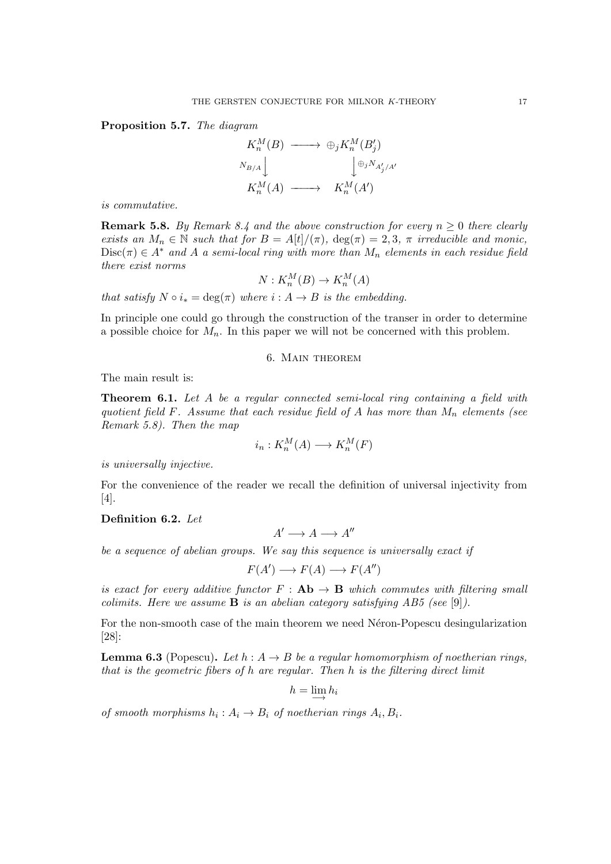Proposition 5.7. The diagram

$$
K_n^M(B) \longrightarrow \bigoplus_j K_n^M(B'_j)
$$
  

$$
N_{B/A} \downarrow \qquad \qquad \downarrow \bigoplus_j N_{A'_j/A'}
$$
  

$$
K_n^M(A) \longrightarrow K_n^M(A')
$$

is commutative.

**Remark 5.8.** By Remark 8.4 and the above construction for every  $n \geq 0$  there clearly exists an  $M_n \in \mathbb{N}$  such that for  $B = A[t]/(\pi)$ ,  $\deg(\pi) = 2, 3, \pi$  irreducible and monic,  $Disc(\pi) \in A^*$  and A a semi-local ring with more than  $M_n$  elements in each residue field there exist norms

$$
N: K_n^M(B) \to K_n^M(A)
$$

that satisfy  $N \circ i_* = \deg(\pi)$  where  $i : A \rightarrow B$  is the embedding.

In principle one could go through the construction of the transer in order to determine a possible choice for  $M_n$ . In this paper we will not be concerned with this problem.

# 6. Main theorem

The main result is:

**Theorem 6.1.** Let A be a regular connected semi-local ring containing a field with quotient field F. Assume that each residue field of A has more than  $M_n$  elements (see Remark 5.8). Then the map

$$
i_n: K_n^M(A) \longrightarrow K_n^M(F)
$$

is universally injective.

For the convenience of the reader we recall the definition of universal injectivity from [4].

# Definition 6.2. Let

 $A' \longrightarrow A \longrightarrow A''$ 

be a sequence of abelian groups. We say this sequence is universally exact if

$$
F(A') \longrightarrow F(A) \longrightarrow F(A'')
$$

is exact for every additive functor  $F : Ab \rightarrow B$  which commutes with filtering small colimits. Here we assume **B** is an abelian category satisfying AB5 (see [9]).

For the non-smooth case of the main theorem we need Néron-Popescu desingularization [28]:

**Lemma 6.3** (Popescu). Let  $h : A \rightarrow B$  be a regular homomorphism of noetherian rings, that is the geometric fibers of h are regular. Then h is the filtering direct limit

$$
h=\varinjlim h_i
$$

of smooth morphisms  $h_i: A_i \to B_i$  of noetherian rings  $A_i, B_i$ .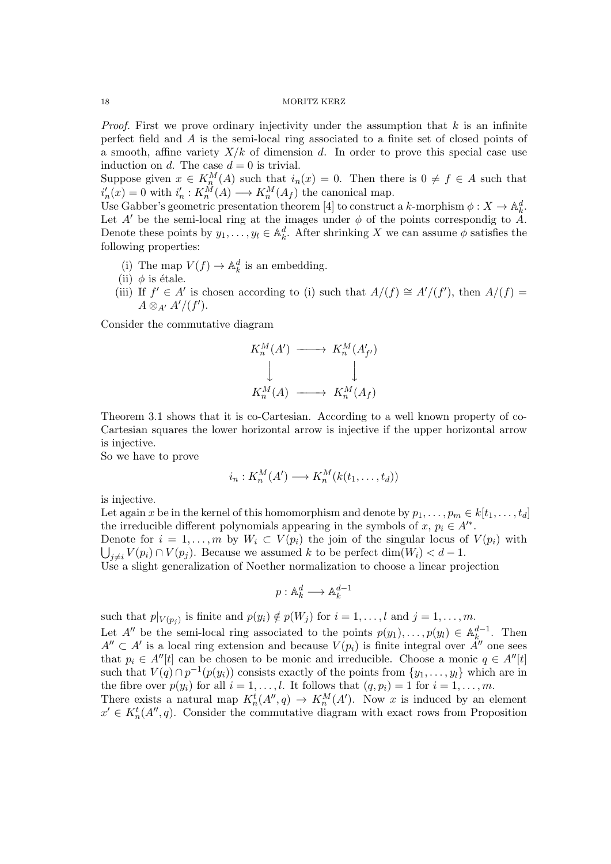*Proof.* First we prove ordinary injectivity under the assumption that  $k$  is an infinite perfect field and A is the semi-local ring associated to a finite set of closed points of a smooth, affine variety  $X/k$  of dimension d. In order to prove this special case use induction on d. The case  $d = 0$  is trivial.

Suppose given  $x \in K_n^M(A)$  such that  $i_n(x) = 0$ . Then there is  $0 \neq f \in A$  such that  $i'_n(x) = 0$  with  $i'_n : K_n^M(A) \longrightarrow K_n^M(A_f)$  the canonical map.

Use Gabber's geometric presentation theorem [4] to construct a k-morphism  $\phi: X \to \mathbb{A}^d_k$ . Let A' be the semi-local ring at the images under  $\phi$  of the points correspondig to A. Denote these points by  $y_1, \ldots, y_l \in \mathbb{A}_k^d$ . After shrinking X we can assume  $\phi$  satisfies the following properties:

- (i) The map  $V(f) \to \mathbb{A}_k^d$  is an embedding.
- (ii)  $\phi$  is étale.
- (iii) If  $f' \in A'$  is chosen according to (i) such that  $A/(f) \cong A'/(f')$ , then  $A/(f) =$  $A \otimes_{A'} A'/(f').$

Consider the commutative diagram

$$
K_n^M(A') \longrightarrow K_n^M(A'_{f'})
$$
  
\n
$$
\downarrow \qquad \qquad \downarrow
$$
  
\n
$$
K_n^M(A) \longrightarrow K_n^M(A_f)
$$

Theorem 3.1 shows that it is co-Cartesian. According to a well known property of co-Cartesian squares the lower horizontal arrow is injective if the upper horizontal arrow is injective.

So we have to prove

$$
i_n: K_n^M(A') \longrightarrow K_n^M(k(t_1,\ldots,t_d))
$$

is injective.

Let again x be in the kernel of this homomorphism and denote by  $p_1, \ldots, p_m \in k[t_1, \ldots, t_d]$ the irreducible different polynomials appearing in the symbols of  $x, p_i \in A'^*$ . Denote for  $i = 1, \ldots, m$  by  $W_i \subset V(p_i)$  the join of the singular locus of  $V(p_i)$  with  $\bigcup_{j\neq i} V(p_i) \cap V(p_j)$ . Because we assumed k to be perfect  $\dim(W_i) < d-1$ .

Use a slight generalization of Noether normalization to choose a linear projection

$$
p: \mathbb{A}_k^d \longrightarrow \mathbb{A}_k^{d-1}
$$

such that  $p|_{V(p_j)}$  is finite and  $p(y_i) \notin p(W_j)$  for  $i = 1, \ldots, l$  and  $j = 1, \ldots, m$ .

Let A'' be the semi-local ring associated to the points  $p(y_1), \ldots, p(y_l) \in \mathbb{A}_k^{d-1}$  $\frac{d-1}{k}$ . Then  $A'' \subset A'$  is a local ring extension and because  $V(p_i)$  is finite integral over  $A''$  one sees that  $p_i \in A''[t]$  can be chosen to be monic and irreducible. Choose a monic  $q \in A''[t]$ such that  $V(q) \cap p^{-1}(p(y_i))$  consists exactly of the points from  $\{y_1, \ldots, y_l\}$  which are in the fibre over  $p(y_i)$  for all  $i = 1, ..., l$ . It follows that  $(q, p_i) = 1$  for  $i = 1, ..., m$ .

There exists a natural map  $K_n^t(A'', q) \to K_n^M(A')$ . Now x is induced by an element  $x' \in K_n^t(A'', q)$ . Consider the commutative diagram with exact rows from Proposition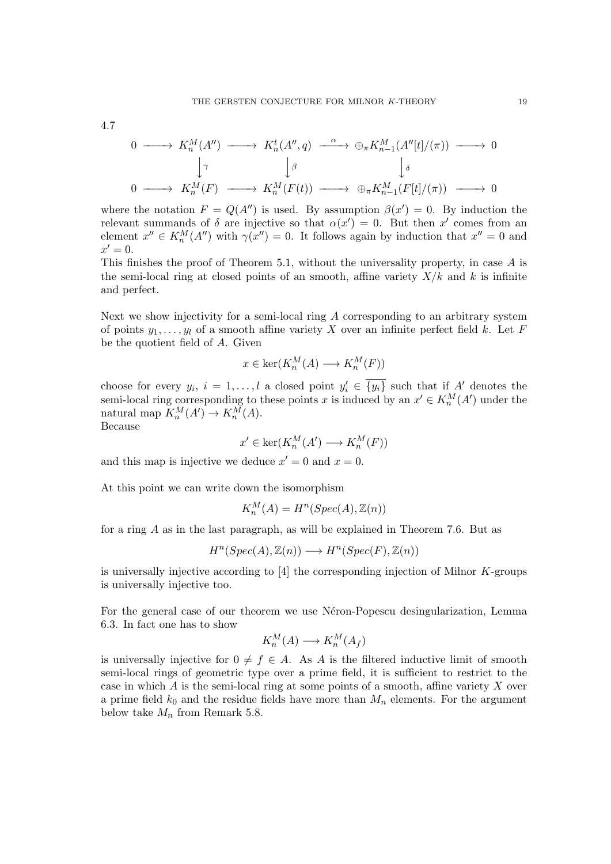4.7

$$
0 \longrightarrow K_n^M(A'') \longrightarrow K_n^t(A'', q) \longrightarrow \bigoplus_{\pi} K_{n-1}^M(A''[t]/(\pi)) \longrightarrow 0
$$
  

$$
\downarrow \gamma \qquad \qquad \downarrow \beta \qquad \qquad \downarrow \delta
$$
  

$$
0 \longrightarrow K_n^M(F) \longrightarrow K_n^M(F(t)) \longrightarrow \bigoplus_{\pi} K_{n-1}^M(F[t]/(\pi)) \longrightarrow 0
$$

where the notation  $F = Q(A'')$  is used. By assumption  $\beta(x') = 0$ . By induction the relevant summands of  $\delta$  are injective so that  $\alpha(x') = 0$ . But then x' comes from an element  $x'' \in K_n^M(A'')$  with  $\gamma(x'') = 0$ . It follows again by induction that  $x'' = 0$  and  $x'=0.$ 

This finishes the proof of Theorem 5.1, without the universality property, in case A is the semi-local ring at closed points of an smooth, affine variety  $X/k$  and k is infinite and perfect.

Next we show injectivity for a semi-local ring A corresponding to an arbitrary system of points  $y_1, \ldots, y_l$  of a smooth affine variety X over an infinite perfect field k. Let F be the quotient field of A. Given

$$
x \in \ker(K_n^M(A) \longrightarrow K_n^M(F))
$$

choose for every  $y_i$ ,  $i = 1, ..., l$  a closed point  $y'_i \in \overline{\{y_i\}}$  such that if A' denotes the semi-local ring corresponding to these points x is induced by an  $x' \in K_n^M(A')$  under the natural map  $K_n^M(A') \to K_n^M(A)$ .

Because

$$
x' \in \ker(K_n^M(A') \longrightarrow K_n^M(F))
$$

and this map is injective we deduce  $x' = 0$  and  $x = 0$ .

At this point we can write down the isomorphism

$$
K_n^M(A) = H^n(Spec(A), \mathbb{Z}(n))
$$

for a ring A as in the last paragraph, as will be explained in Theorem 7.6. But as

$$
H^n(Spec(A), \mathbb{Z}(n)) \longrightarrow H^n(Spec(F), \mathbb{Z}(n))
$$

is universally injective according to [4] the corresponding injection of Milnor K-groups is universally injective too.

For the general case of our theorem we use Néron-Popescu desingularization, Lemma 6.3. In fact one has to show

$$
K_n^M(A) \longrightarrow K_n^M(A_f)
$$

is universally injective for  $0 \neq f \in A$ . As A is the filtered inductive limit of smooth semi-local rings of geometric type over a prime field, it is sufficient to restrict to the case in which  $A$  is the semi-local ring at some points of a smooth, affine variety  $X$  over a prime field  $k_0$  and the residue fields have more than  $M_n$  elements. For the argument below take  $M_n$  from Remark 5.8.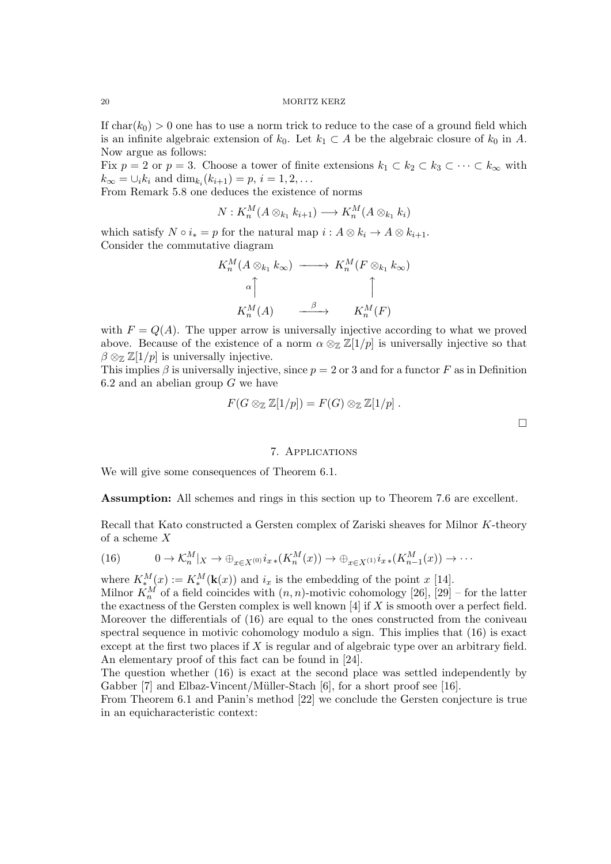If  $char(k_0) > 0$  one has to use a norm trick to reduce to the case of a ground field which is an infinite algebraic extension of  $k_0$ . Let  $k_1 \subset A$  be the algebraic closure of  $k_0$  in A. Now argue as follows:

Fix  $p = 2$  or  $p = 3$ . Choose a tower of finite extensions  $k_1 \subset k_2 \subset k_3 \subset \cdots \subset k_\infty$  with  $k_{\infty} = \bigcup_{i} k_i$  and  $\dim_{k_i}(k_{i+1}) = p, i = 1, 2, ...$ 

From Remark 5.8 one deduces the existence of norms

$$
N: K_n^M(A \otimes_{k_1} k_{i+1}) \longrightarrow K_n^M(A \otimes_{k_1} k_i)
$$

which satisfy  $N \circ i_* = p$  for the natural map  $i : A \otimes k_i \to A \otimes k_{i+1}$ . Consider the commutative diagram

$$
K_n^M(A \otimes_{k_1} k_\infty) \longrightarrow K_n^M(F \otimes_{k_1} k_\infty)
$$
  
\n
$$
\uparrow \qquad \qquad \uparrow
$$
  
\n
$$
K_n^M(A) \longrightarrow \qquad K_n^M(F)
$$

with  $F = Q(A)$ . The upper arrow is universally injective according to what we proved above. Because of the existence of a norm  $\alpha \otimes_{\mathbb{Z}} \mathbb{Z}[1/p]$  is universally injective so that  $\beta \otimes_{\mathbb{Z}} \mathbb{Z}[1/p]$  is universally injective.

This implies  $\beta$  is universally injective, since  $p = 2$  or 3 and for a functor F as in Definition 6.2 and an abelian group  $G$  we have

$$
F(G\otimes_{\mathbb{Z}}\mathbb{Z}[1/p])=F(G)\otimes_{\mathbb{Z}}\mathbb{Z}[1/p].
$$

#### 7. Applications

We will give some consequences of Theorem 6.1.

Assumption: All schemes and rings in this section up to Theorem 7.6 are excellent.

Recall that Kato constructed a Gersten complex of Zariski sheaves for Milnor K-theory of a scheme X

(16) 
$$
0 \to \mathcal{K}_n^M|_X \to \bigoplus_{x \in X^{(0)}} i_{x \ast}(K_n^M(x)) \to \bigoplus_{x \in X^{(1)}} i_{x \ast}(K_{n-1}^M(x)) \to \cdots
$$

where  $K_{*}^{M}(x) := K_{*}^{M}(\mathbf{k}(x))$  and  $i_{x}$  is the embedding of the point x [14].

Milnor  $K_n^M$  of a field coincides with  $(n, n)$ -motivic cohomology  $[26]$ ,  $[29]$  – for the latter the exactness of the Gersten complex is well known  $[4]$  if X is smooth over a perfect field. Moreover the differentials of (16) are equal to the ones constructed from the coniveau spectral sequence in motivic cohomology modulo a sign. This implies that (16) is exact except at the first two places if X is regular and of algebraic type over an arbitrary field. An elementary proof of this fact can be found in [24].

The question whether (16) is exact at the second place was settled independently by Gabber [7] and Elbaz-Vincent/Müller-Stach [6], for a short proof see [16].

From Theorem 6.1 and Panin's method [22] we conclude the Gersten conjecture is true in an equicharacteristic context:

 $\Box$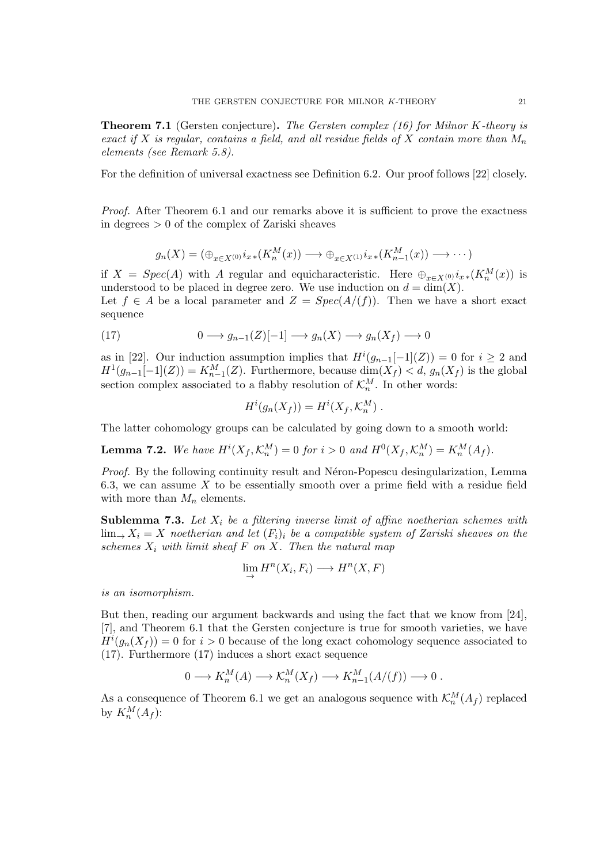**Theorem 7.1** (Gersten conjecture). The Gersten complex (16) for Milnor K-theory is exact if X is regular, contains a field, and all residue fields of X contain more than  $M_n$ elements (see Remark 5.8).

For the definition of universal exactness see Definition 6.2. Our proof follows [22] closely.

Proof. After Theorem 6.1 and our remarks above it is sufficient to prove the exactness in degrees > 0 of the complex of Zariski sheaves

$$
g_n(X) = (\bigoplus_{x \in X^{(0)}} i_{x \ast}(K_n^M(x)) \longrightarrow \bigoplus_{x \in X^{(1)}} i_{x \ast}(K_{n-1}^M(x)) \longrightarrow \cdots)
$$

if  $X = Spec(A)$  with A regular and equicharacteristic. Here  $\bigoplus_{x \in X^{(0)}} i_{x} (K_n^M(x))$  is understood to be placed in degree zero. We use induction on  $d = \dim(X)$ .

Let  $f \in A$  be a local parameter and  $Z = Spec(A/(f))$ . Then we have a short exact sequence

(17) 
$$
0 \longrightarrow g_{n-1}(Z)[-1] \longrightarrow g_n(X) \longrightarrow g_n(X_f) \longrightarrow 0
$$

as in [22]. Our induction assumption implies that  $H^{i}(g_{n-1}[-1](Z)) = 0$  for  $i \geq 2$  and  $H^1(g_{n-1}[-1](Z)) = K_{n-1}^M(Z)$ . Furthermore, because  $\dim(X_f) < d$ ,  $g_n(X_f)$  is the global section complex associated to a flabby resolution of  $\mathcal{K}_n^M$ . In other words:

$$
H^i(g_n(X_f)) = H^i(X_f, \mathcal{K}_n^M) .
$$

The latter cohomology groups can be calculated by going down to a smooth world:

**Lemma 7.2.** We have  $H^i(X_f, \mathcal{K}_n^M) = 0$  for  $i > 0$  and  $H^0(X_f, \mathcal{K}_n^M) = K_n^M(A_f)$ .

Proof. By the following continuity result and Néron-Popescu desingularization, Lemma 6.3, we can assume  $X$  to be essentially smooth over a prime field with a residue field with more than  $M_n$  elements.

**Sublemma 7.3.** Let  $X_i$  be a filtering inverse limit of affine noetherian schemes with  $\lim_{x \to \infty} X_i = X$  noetherian and let  $(F_i)_i$  be a compatible system of Zariski sheaves on the schemes  $X_i$  with limit sheaf  $F$  on  $X$ . Then the natural map

$$
\lim_{\to} H^n(X_i, F_i) \longrightarrow H^n(X, F)
$$

is an isomorphism.

But then, reading our argument backwards and using the fact that we know from [24], [7], and Theorem 6.1 that the Gersten conjecture is true for smooth varieties, we have  $H^{i}(g_n(X_f)) = 0$  for  $i > 0$  because of the long exact cohomology sequence associated to (17). Furthermore (17) induces a short exact sequence

$$
0 \longrightarrow K_n^M(A) \longrightarrow \mathcal{K}_n^M(X_f) \longrightarrow K_{n-1}^M(A/(f)) \longrightarrow 0.
$$

As a consequence of Theorem 6.1 we get an analogous sequence with  $\mathcal{K}_n^M(A_f)$  replaced by  $K_n^M(A_f)$ :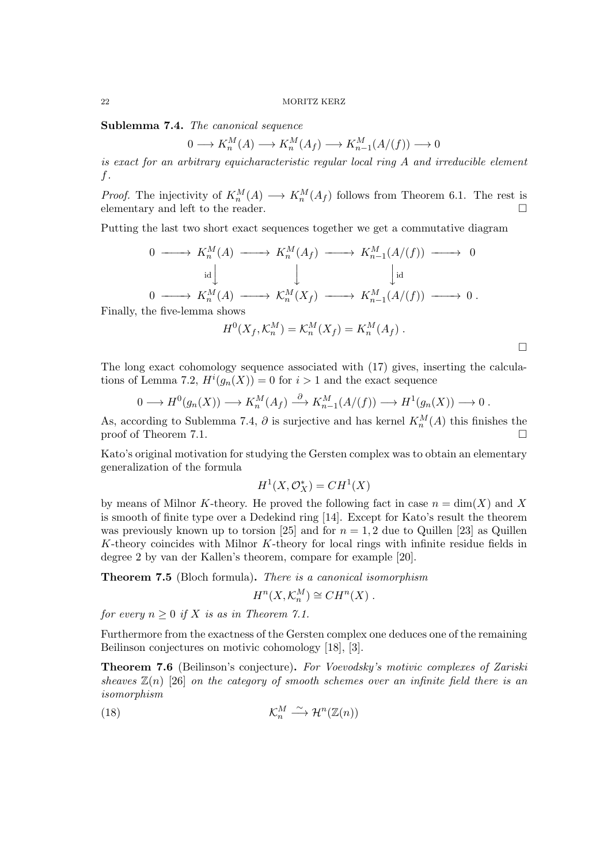Sublemma 7.4. The canonical sequence

$$
0 \longrightarrow K_n^M(A) \longrightarrow K_n^M(A_f) \longrightarrow K_{n-1}^M(A/(f)) \longrightarrow 0
$$

is exact for an arbitrary equicharacteristic regular local ring  $A$  and irreducible element f.

*Proof.* The injectivity of  $K_n^M(A) \longrightarrow K_n^M(A_f)$  follows from Theorem 6.1. The rest is elementary and left to the reader.

Putting the last two short exact sequences together we get a commutative diagram

$$
0 \longrightarrow K_n^M(A) \longrightarrow K_n^M(A_f) \longrightarrow K_{n-1}^M(A/(f)) \longrightarrow 0
$$
  
\n
$$
\downarrow \qquad \qquad \downarrow \qquad \qquad \downarrow
$$
  
\n
$$
0 \longrightarrow K_n^M(A) \longrightarrow \mathcal{K}_n^M(X_f) \longrightarrow K_{n-1}^M(A/(f)) \longrightarrow 0.
$$
  
\nthe five-lemma shows  
\n
$$
H^0(X_f, \mathcal{K}_n^M) = \mathcal{K}_n^M(X_f) = K_n^M(A_f).
$$

 $\Box$ 

Finally.

The long exact cohomology sequence associated with (17) gives, inserting the calculations of Lemma 7.2, 
$$
H^i(g_n(X)) = 0
$$
 for  $i > 1$  and the exact sequence

$$
0 \longrightarrow H^0(g_n(X)) \longrightarrow K_n^M(A_f) \stackrel{\partial}{\longrightarrow} K_{n-1}^M(A/(f)) \longrightarrow H^1(g_n(X)) \longrightarrow 0.
$$

As, according to Sublemma 7.4,  $\partial$  is surjective and has kernel  $K_n^M(A)$  this finishes the proof of Theorem 7.1.

Kato's original motivation for studying the Gersten complex was to obtain an elementary generalization of the formula

$$
H^1(X, \mathcal{O}_X^*) = CH^1(X)
$$

by means of Milnor K-theory. He proved the following fact in case  $n = \dim(X)$  and X is smooth of finite type over a Dedekind ring [14]. Except for Kato's result the theorem was previously known up to torsion [25] and for  $n = 1, 2$  due to Quillen [23] as Quillen  $K$ -theory coincides with Milnor  $K$ -theory for local rings with infinite residue fields in degree 2 by van der Kallen's theorem, compare for example [20].

Theorem 7.5 (Bloch formula). There is a canonical isomorphism

$$
H^n(X, \mathcal{K}_n^M) \cong CH^n(X) .
$$

for every  $n \geq 0$  if X is as in Theorem 7.1.

Furthermore from the exactness of the Gersten complex one deduces one of the remaining Beilinson conjectures on motivic cohomology [18], [3].

Theorem 7.6 (Beilinson's conjecture). For Voevodsky's motivic complexes of Zariski sheaves  $\mathbb{Z}(n)$  [26] on the category of smooth schemes over an infinite field there is an isomorphism

(18) 
$$
\mathcal{K}_n^M \xrightarrow{\sim} \mathcal{H}^n(\mathbb{Z}(n))
$$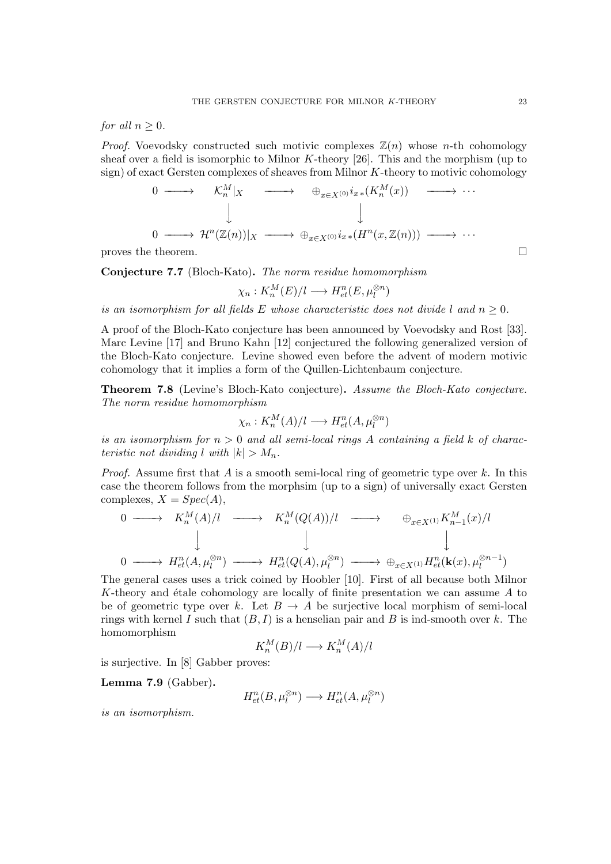for all  $n \geq 0$ .

*Proof.* Voevodsky constructed such motivic complexes  $\mathbb{Z}(n)$  whose *n*-th cohomology sheaf over a field is isomorphic to Milnor  $K$ -theory [26]. This and the morphism (up to sign) of exact Gersten complexes of sheaves from Milnor K-theory to motivic cohomology

$$
\begin{array}{cccc}\n0 & \longrightarrow & \mathcal{K}_n^M|_X & \longrightarrow & \oplus_{x \in X^{(0)}} i_{x*}(K_n^M(x)) & \longrightarrow & \cdots \\
\downarrow & & & \downarrow & & \downarrow & \\
0 & \longrightarrow & \mathcal{H}^n(\mathbb{Z}(n))|_X & \longrightarrow & \oplus_{x \in X^{(0)}} i_{x*}(H^n(x, \mathbb{Z}(n))) & \longrightarrow & \cdots\n\end{array}
$$

proves the theorem.  $\Box$ 

Conjecture 7.7 (Bloch-Kato). The norm residue homomorphism

$$
\chi_n: K_n^M(E)/l \longrightarrow H^n_{et}(E, \mu_l^{\otimes n})
$$

is an isomorphism for all fields E whose characteristic does not divide l and  $n \geq 0$ .

A proof of the Bloch-Kato conjecture has been announced by Voevodsky and Rost [33]. Marc Levine [17] and Bruno Kahn [12] conjectured the following generalized version of the Bloch-Kato conjecture. Levine showed even before the advent of modern motivic cohomology that it implies a form of the Quillen-Lichtenbaum conjecture.

Theorem 7.8 (Levine's Bloch-Kato conjecture). Assume the Bloch-Kato conjecture. The norm residue homomorphism

$$
\chi_n: K_n^M(A)/l \longrightarrow H^n_{et}(A, \mu_l^{\otimes n})
$$

is an isomorphism for  $n > 0$  and all semi-local rings A containing a field k of characteristic not dividing l with  $|k| > M_n$ .

*Proof.* Assume first that  $A$  is a smooth semi-local ring of geometric type over  $k$ . In this case the theorem follows from the morphsim (up to a sign) of universally exact Gersten complexes,  $X = Spec(A)$ ,

$$
\begin{array}{ccccccc}\n0 & \longrightarrow & K_n^M(A)/l & \longrightarrow & K_n^M(Q(A))/l & \longrightarrow & \oplus_{x \in X^{(1)}} K_{n-1}^M(x)/l \\
 & & \downarrow & & \downarrow & & \downarrow \\
0 & \longrightarrow & H_{et}^n(A, \mu_l^{\otimes n}) & \longrightarrow & H_{et}^n(Q(A), \mu_l^{\otimes n}) & \longrightarrow & \oplus_{x \in X^{(1)}} H_{et}^n(\mathbf{k}(x), \mu_l^{\otimes n-1})\n\end{array}
$$

The general cases uses a trick coined by Hoobler [10]. First of all because both Milnor K-theory and étale cohomology are locally of finite presentation we can assume  $A$  to be of geometric type over k. Let  $B \to A$  be surjective local morphism of semi-local rings with kernel I such that  $(B, I)$  is a henselian pair and B is ind-smooth over k. The homomorphism

$$
K_n^M(B)/l \longrightarrow K_n^M(A)/l
$$

is surjective. In [8] Gabber proves:

Lemma 7.9 (Gabber).

$$
H^n_{et}(B, \mu_l^{\otimes n}) \longrightarrow H^n_{et}(A, \mu_l^{\otimes n})
$$

is an isomorphism.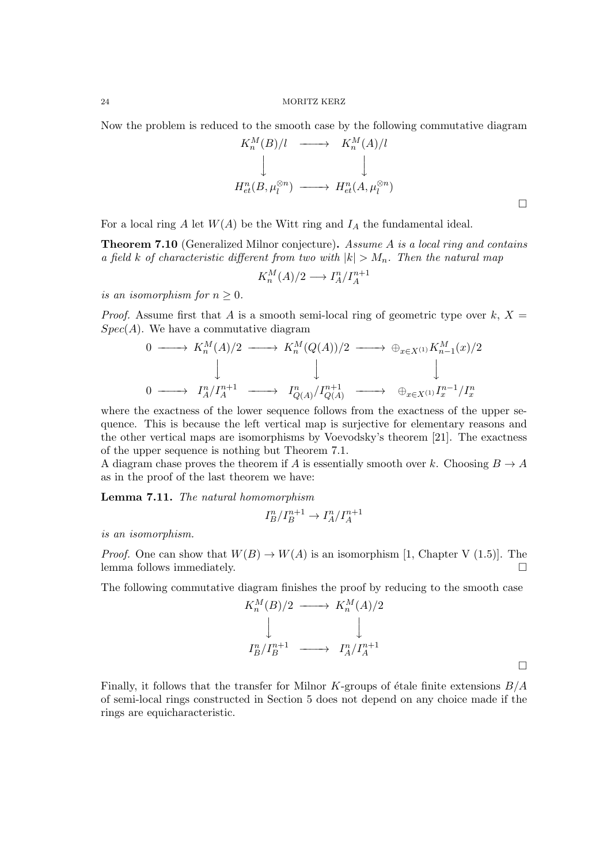Now the problem is reduced to the smooth case by the following commutative diagram

$$
K_n^M(B)/l \longrightarrow K_n^M(A)/l
$$
  
\n
$$
\downarrow \qquad \qquad \downarrow
$$
  
\n
$$
H_{et}^n(B, \mu_l^{\otimes n}) \longrightarrow H_{et}^n(A, \mu_l^{\otimes n})
$$

For a local ring A let  $W(A)$  be the Witt ring and  $I_A$  the fundamental ideal.

**Theorem 7.10** (Generalized Milnor conjecture). Assume A is a local ring and contains a field k of characteristic different from two with  $|k| > M_n$ . Then the natural map

$$
K_n^M(A)/2 \longrightarrow I_A^n/I_A^{n+1}
$$

is an isomorphism for  $n \geq 0$ .

*Proof.* Assume first that A is a smooth semi-local ring of geometric type over  $k, X =$  $Spec(A)$ . We have a commutative diagram

$$
\begin{array}{ccccccc}\n0 & \longrightarrow & K_n^M(A)/2 & \longrightarrow & K_n^M(Q(A))/2 & \longrightarrow & \oplus_{x \in X^{(1)}} K_{n-1}^M(x)/2 \\
& & & & & & \\
0 & \longrightarrow & I_A^n / I_A^{n+1} & \longrightarrow & I_{Q(A)}^n / I_{Q(A)}^{n+1} & \longrightarrow & \oplus_{x \in X^{(1)}} I_x^{n-1} / I_x^n\n\end{array}
$$

where the exactness of the lower sequence follows from the exactness of the upper sequence. This is because the left vertical map is surjective for elementary reasons and the other vertical maps are isomorphisms by Voevodsky's theorem [21]. The exactness of the upper sequence is nothing but Theorem 7.1.

A diagram chase proves the theorem if A is essentially smooth over k. Choosing  $B \to A$ as in the proof of the last theorem we have:

Lemma 7.11. The natural homomorphism

$$
I_B^n/I_B^{n+1} \to I_A^n/I_A^{n+1}
$$

is an isomorphism.

*Proof.* One can show that  $W(B) \to W(A)$  is an isomorphism [1, Chapter V (1.5)]. The lemma follows immediately.

The following commutative diagram finishes the proof by reducing to the smooth case

$$
K_n^M(B)/2 \longrightarrow K_n^M(A)/2
$$
  
\n
$$
\downarrow \qquad \qquad \downarrow
$$
  
\n
$$
I_B^n/I_B^{n+1} \longrightarrow I_A^n/I_A^{n+1}
$$

Finally, it follows that the transfer for Milnor K-groups of étale finite extensions  $B/A$ of semi-local rings constructed in Section 5 does not depend on any choice made if the rings are equicharacteristic.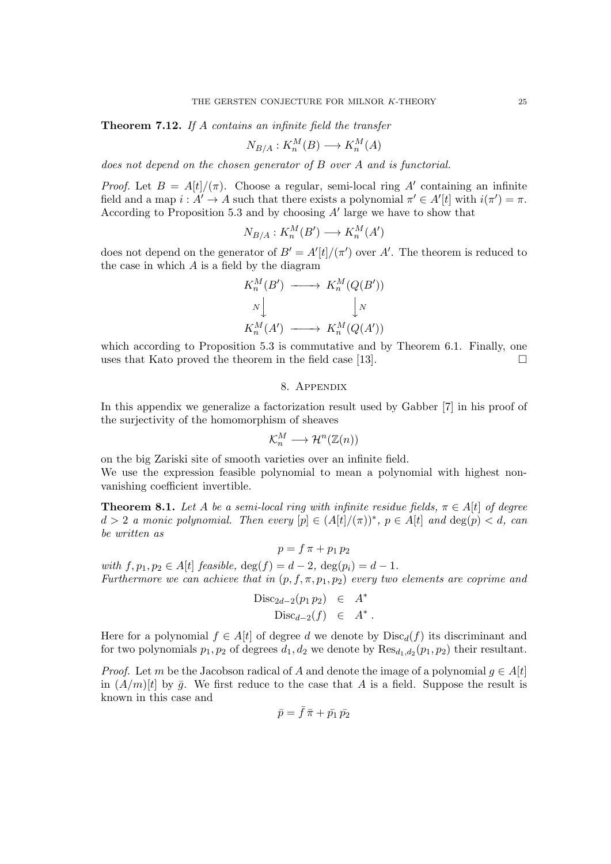Theorem 7.12. If A contains an infinite field the transfer

$$
N_{B/A}: K_n^M(B) \longrightarrow K_n^M(A)
$$

does not depend on the chosen generator of B over A and is functorial.

*Proof.* Let  $B = A[t]/(\pi)$ . Choose a regular, semi-local ring A' containing an infinite field and a map  $i : A' \to A$  such that there exists a polynomial  $\pi' \in A'[t]$  with  $i(\pi') = \pi$ . According to Proposition 5.3 and by choosing  $A'$  large we have to show that

$$
N_{B/A}: K_n^M(B') \longrightarrow K_n^M(A')
$$

does not depend on the generator of  $B' = A'[t]/(\pi')$  over A'. The theorem is reduced to the case in which  $A$  is a field by the diagram

$$
K_n^M(B') \longrightarrow K_n^M(Q(B'))
$$
  

$$
N \downarrow \qquad \qquad \downarrow N
$$
  

$$
K_n^M(A') \longrightarrow K_n^M(Q(A'))
$$

which according to Proposition 5.3 is commutative and by Theorem 6.1. Finally, one uses that Kato proved the theorem in the field case [13].  $\Box$ 

# 8. Appendix

In this appendix we generalize a factorization result used by Gabber [7] in his proof of the surjectivity of the homomorphism of sheaves

$$
\mathcal{K}_n^M\longrightarrow\mathcal{H}^n(\mathbb{Z}(n))
$$

on the big Zariski site of smooth varieties over an infinite field. We use the expression feasible polynomial to mean a polynomial with highest nonvanishing coefficient invertible.

**Theorem 8.1.** Let A be a semi-local ring with infinite residue fields,  $\pi \in A[t]$  of degree  $d > 2$  a monic polynomial. Then every  $[p] \in (A[t]/(\pi))^*$ ,  $p \in A[t]$  and  $\deg(p) < d$ , can be written as

 $p = f \pi + p_1 p_2$ with  $f, p_1, p_2 \in A[t]$  feasible,  $deg(f) = d - 2$ ,  $deg(p_i) = d - 1$ . Furthermore we can achieve that in  $(p, f, \pi, p_1, p_2)$  every two elements are coprime and

$$
\begin{array}{rcl}\n\text{Disc}_{2d-2}(p_1 p_2) & \in & A^* \\
\text{Disc}_{d-2}(f) & \in & A^* \,.\n\end{array}
$$

Here for a polynomial  $f \in A[t]$  of degree d we denote by  $Disc_d(f)$  its discriminant and for two polynomials  $p_1, p_2$  of degrees  $d_1, d_2$  we denote by  $\text{Res}_{d_1, d_2}(p_1, p_2)$  their resultant.

*Proof.* Let m be the Jacobson radical of A and denote the image of a polynomial  $q \in A[t]$ in  $(A/m)[t]$  by  $\bar{g}$ . We first reduce to the case that A is a field. Suppose the result is known in this case and

$$
\bar{p}=\bar{f}\,\bar{\pi}+\bar{p_1}\,\bar{p_2}
$$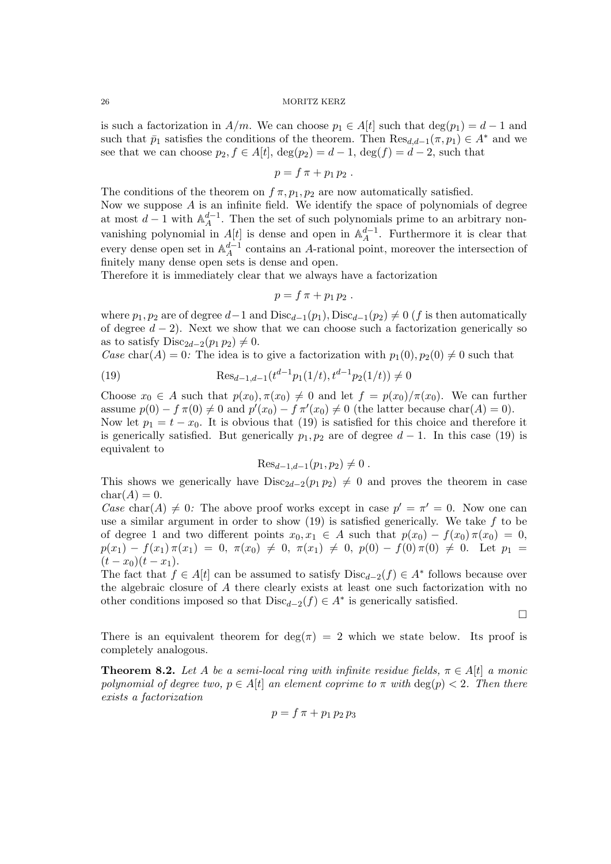is such a factorization in  $A/m$ . We can choose  $p_1 \in A[t]$  such that  $\deg(p_1) = d - 1$  and such that  $\bar{p}_1$  satisfies the conditions of the theorem. Then  $\text{Res}_{d,d-1}(\pi, p_1) \in A^*$  and we see that we can choose  $p_2, f \in A[t], \deg(p_2) = d - 1, \deg(f) = d - 2$ , such that

$$
p = f \pi + p_1 p_2.
$$

The conditions of the theorem on  $f \pi$ ,  $p_1$ ,  $p_2$  are now automatically satisfied.

Now we suppose  $A$  is an infinite field. We identify the space of polynomials of degree at most  $d-1$  with  $\mathbb{A}^{d-1}_A$  $_A^{d-1}$ . Then the set of such polynomials prime to an arbitrary nonvanishing polynomial in  $A[t]$  is dense and open in  $\mathbb{A}_{A}^{d-1}$  $A^{d-1}$ . Furthermore it is clear that every dense open set in  $\mathbb{A}^{d-1}_A$  $_{A}^{d-1}$  contains an A-rational point, moreover the intersection of finitely many dense open sets is dense and open.

Therefore it is immediately clear that we always have a factorization

$$
p = f \pi + p_1 p_2.
$$

where  $p_1, p_2$  are of degree  $d-1$  and  $Disc_{d-1}(p_1)$ ,  $Disc_{d-1}(p_2) \neq 0$  (f is then automatically of degree  $d - 2$ ). Next we show that we can choose such a factorization generically so as to satisfy  $Disc_{2d-2}(p_1 p_2) \neq 0$ .

Case char(A) = 0: The idea is to give a factorization with  $p_1(0), p_2(0) \neq 0$  such that

(19) 
$$
\text{Res}_{d-1,d-1}(t^{d-1}p_1(1/t), t^{d-1}p_2(1/t)) \neq 0
$$

Choose  $x_0 \in A$  such that  $p(x_0), \pi(x_0) \neq 0$  and let  $f = p(x_0)/\pi(x_0)$ . We can further assume  $p(0) - f \pi(0) \neq 0$  and  $p'(x_0) - f \pi'(x_0) \neq 0$  (the latter because char(A) = 0). Now let  $p_1 = t - x_0$ . It is obvious that (19) is satisfied for this choice and therefore it is generically satisfied. But generically  $p_1, p_2$  are of degree  $d-1$ . In this case (19) is equivalent to

$$
\text{Res}_{d-1,d-1}(p_1,p_2) \neq 0.
$$

This shows we generically have  $Disc_{2d-2}(p_1 p_2) \neq 0$  and proves the theorem in case  $char(A) = 0.$ 

Case char(A)  $\neq 0$ : The above proof works except in case  $p' = \pi' = 0$ . Now one can use a similar argument in order to show  $(19)$  is satisfied generically. We take f to be of degree 1 and two different points  $x_0, x_1 \in A$  such that  $p(x_0) - f(x_0) \pi(x_0) = 0$ ,  $p(x_1) - f(x_1) \pi(x_1) = 0, \ \pi(x_0) \neq 0, \ \pi(x_1) \neq 0, \ p(0) - f(0) \pi(0) \neq 0.$  Let  $p_1 =$  $(t - x_0)(t - x_1).$ 

The fact that  $f \in A[t]$  can be assumed to satisfy  $Disc_{d-2}(f) \in A^*$  follows because over the algebraic closure of A there clearly exists at least one such factorization with no other conditions imposed so that  $Disc_{d-2}(f) \in A^*$  is generically satisfied.

 $\Box$ 

There is an equivalent theorem for  $\deg(\pi) = 2$  which we state below. Its proof is completely analogous.

**Theorem 8.2.** Let A be a semi-local ring with infinite residue fields,  $\pi \in A[t]$  a monic polynomial of degree two,  $p \in A[t]$  an element coprime to  $\pi$  with  $\deg(p) < 2$ . Then there exists a factorization

$$
p=f\,\pi+p_1\,p_2\,p_3
$$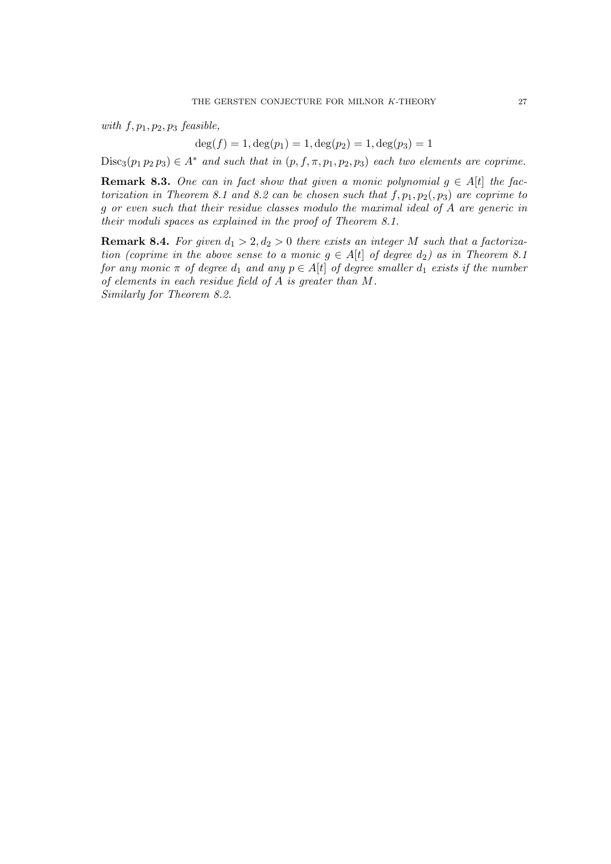with  $f, p_1, p_2, p_3$  feasible,

 $deg(f) = 1, deg(p_1) = 1, deg(p_2) = 1, deg(p_3) = 1$ 

 $Disc_3(p_1 p_2 p_3) \in A^*$  and such that in  $(p, f, \pi, p_1, p_2, p_3)$  each two elements are coprime.

**Remark 8.3.** One can in fact show that given a monic polynomial  $g \in A[t]$  the factorization in Theorem 8.1 and 8.2 can be chosen such that  $f, p_1, p_2, p_3)$  are coprime to g or even such that their residue classes modulo the maximal ideal of A are generic in their moduli spaces as explained in the proof of Theorem 8.1.

**Remark 8.4.** For given  $d_1 > 2$ ,  $d_2 > 0$  there exists an integer M such that a factorization (coprime in the above sense to a monic  $g \in A[t]$  of degree  $d_2$ ) as in Theorem 8.1 for any monic  $\pi$  of degree  $d_1$  and any  $p \in A[t]$  of degree smaller  $d_1$  exists if the number of elements in each residue field of A is greater than M. Similarly for Theorem 8.2.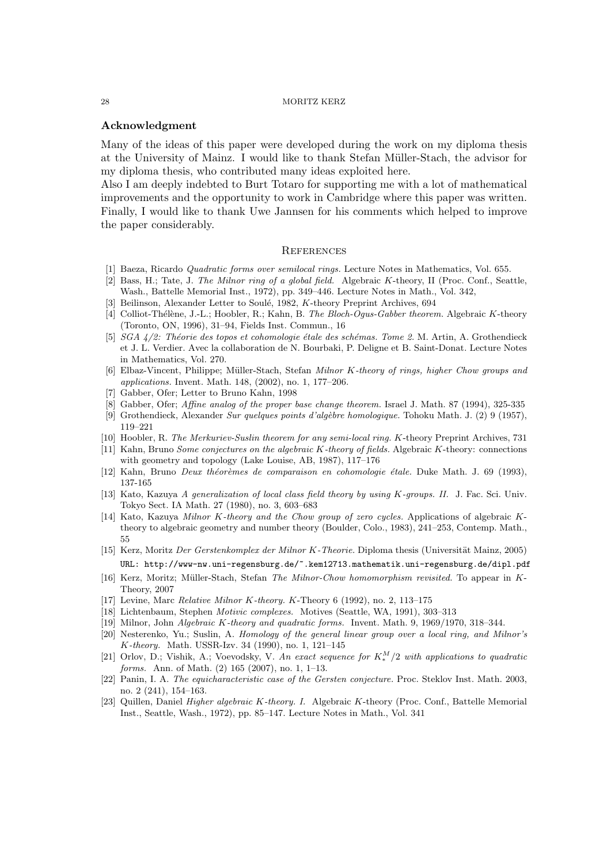### Acknowledgment

Many of the ideas of this paper were developed during the work on my diploma thesis at the University of Mainz. I would like to thank Stefan M¨uller-Stach, the advisor for my diploma thesis, who contributed many ideas exploited here.

Also I am deeply indebted to Burt Totaro for supporting me with a lot of mathematical improvements and the opportunity to work in Cambridge where this paper was written. Finally, I would like to thank Uwe Jannsen for his comments which helped to improve the paper considerably.

# **REFERENCES**

- [1] Baeza, Ricardo Quadratic forms over semilocal rings. Lecture Notes in Mathematics, Vol. 655.
- [2] Bass, H.; Tate, J. The Milnor ring of a global field. Algebraic K-theory, II (Proc. Conf., Seattle, Wash., Battelle Memorial Inst., 1972), pp. 349–446. Lecture Notes in Math., Vol. 342,
- [3] Beilinson, Alexander Letter to Soulé, 1982, K-theory Preprint Archives, 694
- [4] Colliot-Thélène, J.-L.; Hoobler, R.; Kahn, B. The Bloch-Ogus-Gabber theorem. Algebraic K-theory (Toronto, ON, 1996), 31–94, Fields Inst. Commun., 16
- [5]  $SGA \frac{1}{2}$ : Théorie des topos et cohomologie étale des schémas. Tome 2. M. Artin, A. Grothendieck et J. L. Verdier. Avec la collaboration de N. Bourbaki, P. Deligne et B. Saint-Donat. Lecture Notes in Mathematics, Vol. 270.
- [6] Elbaz-Vincent, Philippe; Müller-Stach, Stefan Milnor K-theory of rings, higher Chow groups and applications. Invent. Math. 148, (2002), no. 1, 177–206.
- [7] Gabber, Ofer; Letter to Bruno Kahn, 1998
- [8] Gabber, Ofer; Affine analog of the proper base change theorem. Israel J. Math. 87 (1994), 325-335
- [9] Grothendieck, Alexander Sur quelques points d'alg`ebre homologique. Tohoku Math. J. (2) 9 (1957), 119–221
- [10] Hoobler, R. The Merkuriev-Suslin theorem for any semi-local ring. K-theory Preprint Archives, 731
- [11] Kahn, Bruno Some conjectures on the algebraic K-theory of fields. Algebraic K-theory: connections with geometry and topology (Lake Louise, AB, 1987), 117–176
- [12] Kahn, Bruno Deux théorèmes de comparaison en cohomologie étale. Duke Math. J. 69 (1993), 137-165
- [13] Kato, Kazuya A generalization of local class field theory by using K-groups. II. J. Fac. Sci. Univ. Tokyo Sect. IA Math. 27 (1980), no. 3, 603–683
- [14] Kato, Kazuya Milnor K-theory and the Chow group of zero cycles. Applications of algebraic Ktheory to algebraic geometry and number theory (Boulder, Colo., 1983), 241–253, Contemp. Math., 55
- [15] Kerz, Moritz Der Gerstenkomplex der Milnor K-Theorie. Diploma thesis (Universität Mainz, 2005) URL: http://www-nw.uni-regensburg.de/~.kem12713.mathematik.uni-regensburg.de/dipl.pdf
- [16] Kerz, Moritz; Müller-Stach, Stefan The Milnor-Chow homomorphism revisited. To appear in K-Theory, 2007
- [17] Levine, Marc Relative Milnor K-theory. K-Theory 6 (1992), no. 2, 113–175
- [18] Lichtenbaum, Stephen Motivic complexes. Motives (Seattle, WA, 1991), 303–313
- [19] Milnor, John Algebraic K-theory and quadratic forms. Invent. Math. 9, 1969/1970, 318–344.
- [20] Nesterenko, Yu.; Suslin, A. Homology of the general linear group over a local ring, and Milnor's K-theory. Math. USSR-Izv. 34 (1990), no. 1, 121–145
- [21] Orlov, D.; Vishik, A.; Voevodsky, V. An exact sequence for  $K_*^M/2$  with applications to quadratic forms. Ann. of Math. (2) 165 (2007), no. 1, 1–13.
- [22] Panin, I. A. The equicharacteristic case of the Gersten conjecture. Proc. Steklov Inst. Math. 2003, no. 2 (241), 154–163.
- [23] Quillen, Daniel Higher algebraic K-theory. I. Algebraic K-theory (Proc. Conf., Battelle Memorial Inst., Seattle, Wash., 1972), pp. 85–147. Lecture Notes in Math., Vol. 341